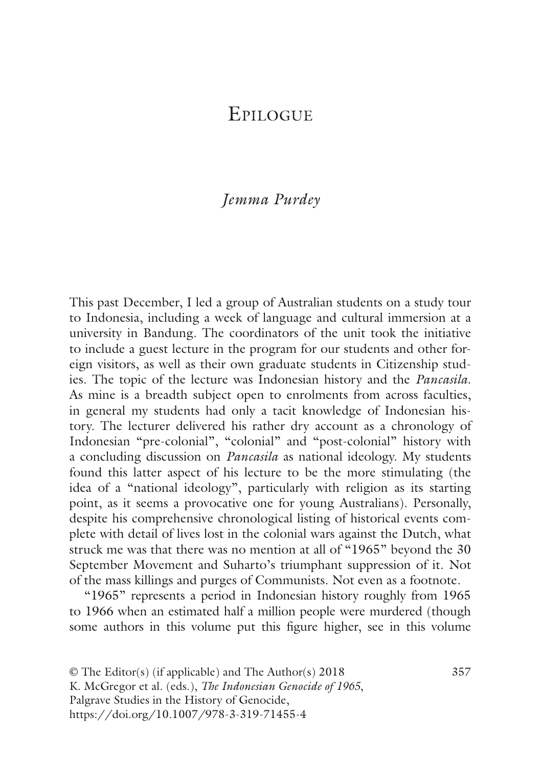# <span id="page-0-0"></span>EPILOGUE

# *Jemma Purdey*

This past December, I led a group of Australian students on a study tour to Indonesia, including a week of language and cultural immersion at a university in Bandung. The coordinators of the unit took the initiative to include a guest lecture in the program for our students and other foreign visitors, as well as their own graduate students in Citizenship studies. The topic of the lecture was Indonesian history and the *Pancasila*. As mine is a breadth subject open to enrolments from across faculties, in general my students had only a tacit knowledge of Indonesian history. The lecturer delivered his rather dry account as a chronology of Indonesian "pre-colonial", "colonial" and "post-colonial" history with a concluding discussion on *Pancasila* as national ideology. My students found this latter aspect of his lecture to be the more stimulating (the idea of a "national ideology", particularly with religion as its starting point, as it seems a provocative one for young Australians). Personally, despite his comprehensive chronological listing of historical events complete with detail of lives lost in the colonial wars against the Dutch, what struck me was that there was no mention at all of "1965" beyond the 30 September Movement and Suharto's triumphant suppression of it. Not of the mass killings and purges of Communists. Not even as a footnote.

"1965" represents a period in Indonesian history roughly from 1965 to 1966 when an estimated half a million people were murdered (though some authors in this volume put this fgure higher, see in this volume

© The Editor(s) (if applicable) and The Author(s) 2018 357 K. McGregor et al. (eds.), *The Indonesian Genocide of 1965*, Palgrave Studies in the History of Genocide, https://doi.org/10.1007/978-3-319-71455-4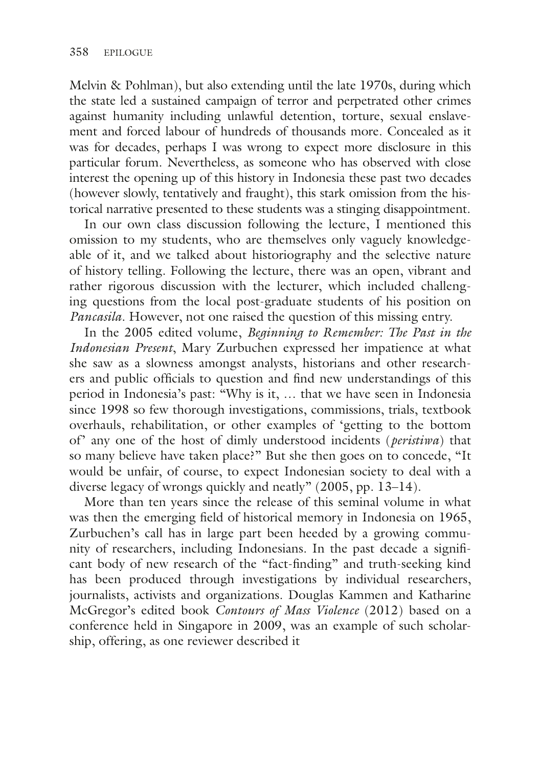Melvin & Pohlman), but also extending until the late 1970s, during which the state led a sustained campaign of terror and perpetrated other crimes against humanity including unlawful detention, torture, sexual enslavement and forced labour of hundreds of thousands more. Concealed as it was for decades, perhaps I was wrong to expect more disclosure in this particular forum. Nevertheless, as someone who has observed with close interest the opening up of this history in Indonesia these past two decades (however slowly, tentatively and fraught), this stark omission from the historical narrative presented to these students was a stinging disappointment.

In our own class discussion following the lecture, I mentioned this omission to my students, who are themselves only vaguely knowledgeable of it, and we talked about historiography and the selective nature of history telling. Following the lecture, there was an open, vibrant and rather rigorous discussion with the lecturer, which included challenging questions from the local post-graduate students of his position on *Pancasila*. However, not one raised the question of this missing entry.

In the 2005 edited volume, *Beginning to Remember: The Past in the Indonesian Present*, Mary Zurbuchen expressed her impatience at what she saw as a slowness amongst analysts, historians and other researchers and public offcials to question and fnd new understandings of this period in Indonesia's past: "Why is it, … that we have seen in Indonesia since 1998 so few thorough investigations, commissions, trials, textbook overhauls, rehabilitation, or other examples of 'getting to the bottom of' any one of the host of dimly understood incidents (*peristiwa*) that so many believe have taken place?" But she then goes on to concede, "It would be unfair, of course, to expect Indonesian society to deal with a diverse legacy of wrongs quickly and neatly" (2005, pp. 13–14).

More than ten years since the release of this seminal volume in what was then the emerging feld of historical memory in Indonesia on 1965, Zurbuchen's call has in large part been heeded by a growing community of researchers, including Indonesians. In the past decade a signifcant body of new research of the "fact-fnding" and truth-seeking kind has been produced through investigations by individual researchers, journalists, activists and organizations. Douglas Kammen and Katharine McGregor's edited book *Contours of Mass Violence* (2012) based on a conference held in Singapore in 2009, was an example of such scholarship, offering, as one reviewer described it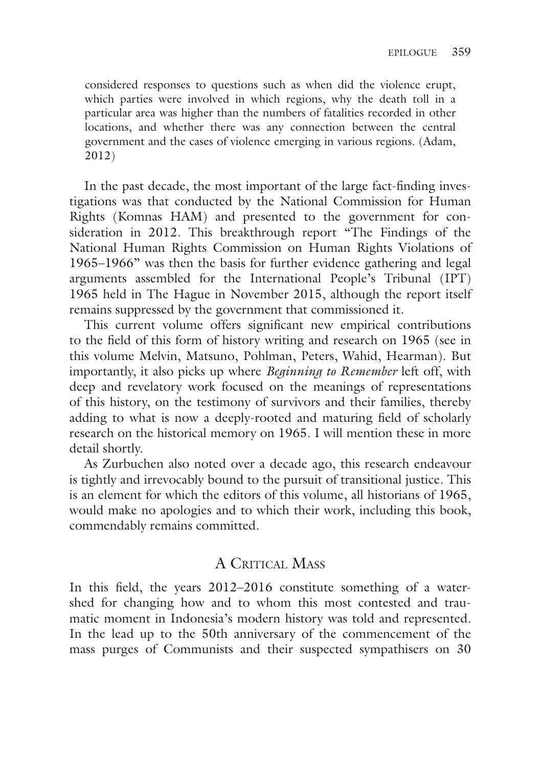considered responses to questions such as when did the violence erupt, which parties were involved in which regions, why the death toll in a particular area was higher than the numbers of fatalities recorded in other locations, and whether there was any connection between the central government and the cases of violence emerging in various regions. (Adam, 2012)

In the past decade, the most important of the large fact-fnding investigations was that conducted by the National Commission for Human Rights (Komnas HAM) and presented to the government for consideration in 2012. This breakthrough report "The Findings of the National Human Rights Commission on Human Rights Violations of 1965–1966" was then the basis for further evidence gathering and legal arguments assembled for the International People's Tribunal (IPT) 1965 held in The Hague in November 2015, although the report itself remains suppressed by the government that commissioned it.

This current volume offers signifcant new empirical contributions to the feld of this form of history writing and research on 1965 (see in this volume Melvin, Matsuno, Pohlman, Peters, Wahid, Hearman). But importantly, it also picks up where *Beginning to Remember* left off, with deep and revelatory work focused on the meanings of representations of this history, on the testimony of survivors and their families, thereby adding to what is now a deeply-rooted and maturing feld of scholarly research on the historical memory on 1965. I will mention these in more detail shortly.

As Zurbuchen also noted over a decade ago, this research endeavour is tightly and irrevocably bound to the pursuit of transitional justice. This is an element for which the editors of this volume, all historians of 1965, would make no apologies and to which their work, including this book, commendably remains committed.

# A CRITICAL MASS

In this feld, the years 2012–2016 constitute something of a watershed for changing how and to whom this most contested and traumatic moment in Indonesia's modern history was told and represented. In the lead up to the 50th anniversary of the commencement of the mass purges of Communists and their suspected sympathisers on 30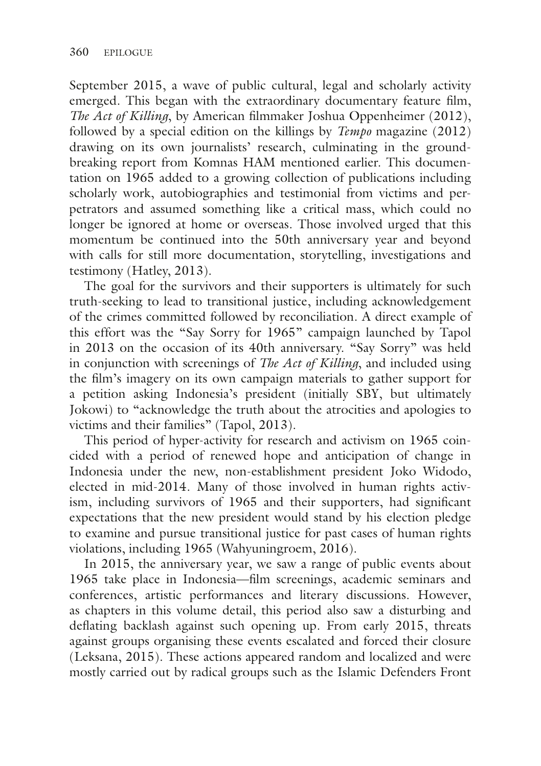September 2015, a wave of public cultural, legal and scholarly activity emerged. This began with the extraordinary documentary feature flm, *The Act of Killing*, by American flmmaker Joshua Oppenheimer (2012), followed by a special edition on the killings by *Tempo* magazine (2012) drawing on its own journalists' research, culminating in the groundbreaking report from Komnas HAM mentioned earlier. This documentation on 1965 added to a growing collection of publications including scholarly work, autobiographies and testimonial from victims and perpetrators and assumed something like a critical mass, which could no longer be ignored at home or overseas. Those involved urged that this momentum be continued into the 50th anniversary year and beyond with calls for still more documentation, storytelling, investigations and testimony (Hatley, 2013).

The goal for the survivors and their supporters is ultimately for such truth-seeking to lead to transitional justice, including acknowledgement of the crimes committed followed by reconciliation. A direct example of this effort was the "Say Sorry for 1965" campaign launched by Tapol in 2013 on the occasion of its 40th anniversary. "Say Sorry" was held in conjunction with screenings of *The Act of Killing*, and included using the flm's imagery on its own campaign materials to gather support for a petition asking Indonesia's president (initially SBY, but ultimately Jokowi) to "acknowledge the truth about the atrocities and apologies to victims and their families" (Tapol, 2013).

This period of hyper-activity for research and activism on 1965 coincided with a period of renewed hope and anticipation of change in Indonesia under the new, non-establishment president Joko Widodo, elected in mid-2014. Many of those involved in human rights activism, including survivors of 1965 and their supporters, had signifcant expectations that the new president would stand by his election pledge to examine and pursue transitional justice for past cases of human rights violations, including 1965 (Wahyuningroem, 2016).

In 2015, the anniversary year, we saw a range of public events about 1965 take place in Indonesia—flm screenings, academic seminars and conferences, artistic performances and literary discussions. However, as chapters in this volume detail, this period also saw a disturbing and defating backlash against such opening up. From early 2015, threats against groups organising these events escalated and forced their closure (Leksana, 2015). These actions appeared random and localized and were mostly carried out by radical groups such as the Islamic Defenders Front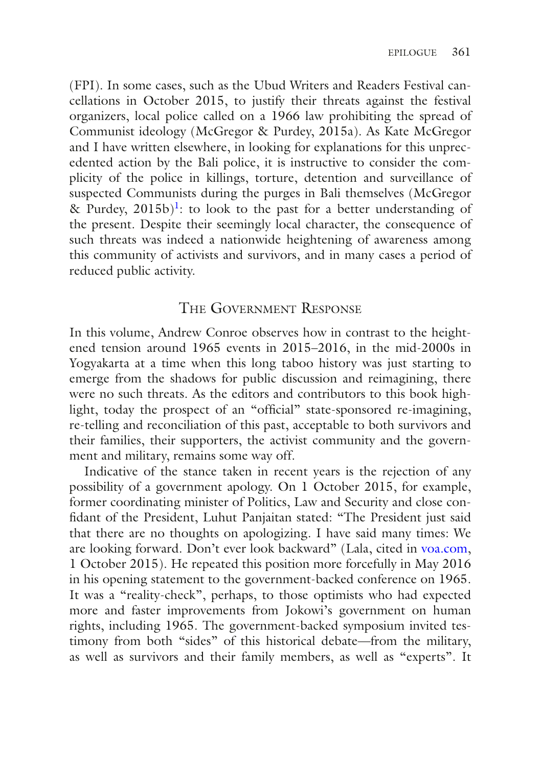(FPI). In some cases, such as the Ubud Writers and Readers Festival cancellations in October 2015, to justify their threats against the festival organizers, local police called on a 1966 law prohibiting the spread of Communist ideology (McGregor & Purdey, 2015a). As Kate McGregor and I have written elsewhere, in looking for explanations for this unprecedented action by the Bali police, it is instructive to consider the complicity of the police in killings, torture, detention and surveillance of suspected Communists during the purges in Bali themselves (McGregor & Purdey,  $2015b$ <sup>1</sup>: to look to the past for a better understanding of the present. Despite their seemingly local character, the consequence of such threats was indeed a nationwide heightening of awareness among this community of activists and survivors, and in many cases a period of reduced public activity.

## The Government Response

In this volume, Andrew Conroe observes how in contrast to the heightened tension around 1965 events in 2015–2016, in the mid-2000s in Yogyakarta at a time when this long taboo history was just starting to emerge from the shadows for public discussion and reimagining, there were no such threats. As the editors and contributors to this book highlight, today the prospect of an "official" state-sponsored re-imagining, re-telling and reconciliation of this past, acceptable to both survivors and their families, their supporters, the activist community and the government and military, remains some way off.

Indicative of the stance taken in recent years is the rejection of any possibility of a government apology. On 1 October 2015, for example, former coordinating minister of Politics, Law and Security and close confdant of the President, Luhut Panjaitan stated: "The President just said that there are no thoughts on apologizing. I have said many times: We are looking forward. Don't ever look backward" (Lala, cited in [voa.com,](http://voa.com) 1 October 2015). He repeated this position more forcefully in May 2016 in his opening statement to the government-backed conference on 1965. It was a "reality-check", perhaps, to those optimists who had expected more and faster improvements from Jokowi's government on human rights, including 1965. The government-backed symposium invited testimony from both "sides" of this historical debate—from the military, as well as survivors and their family members, as well as "experts". It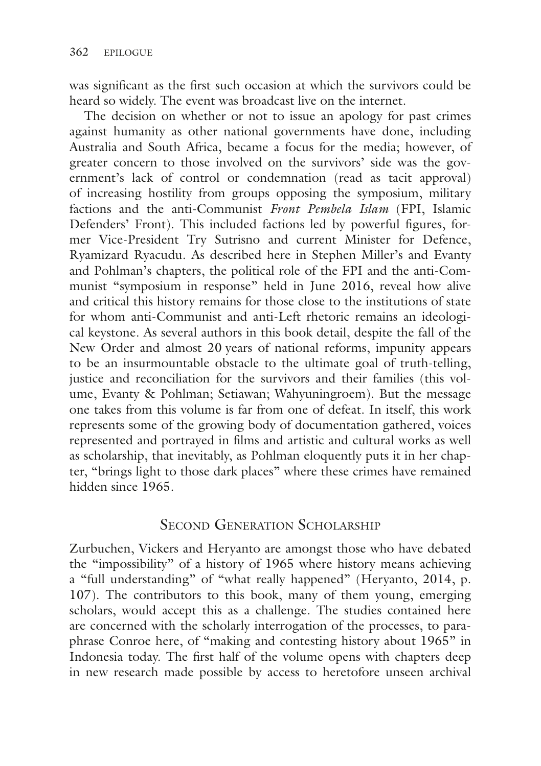was signifcant as the frst such occasion at which the survivors could be heard so widely. The event was broadcast live on the internet.

The decision on whether or not to issue an apology for past crimes against humanity as other national governments have done, including Australia and South Africa, became a focus for the media; however, of greater concern to those involved on the survivors' side was the government's lack of control or condemnation (read as tacit approval) of increasing hostility from groups opposing the symposium, military factions and the anti-Communist *Front Pembela Islam* (FPI, Islamic Defenders' Front). This included factions led by powerful fgures, former Vice-President Try Sutrisno and current Minister for Defence, Ryamizard Ryacudu. As described here in Stephen Miller's and Evanty and Pohlman's chapters, the political role of the FPI and the anti-Communist "symposium in response" held in June 2016, reveal how alive and critical this history remains for those close to the institutions of state for whom anti-Communist and anti-Left rhetoric remains an ideological keystone. As several authors in this book detail, despite the fall of the New Order and almost 20 years of national reforms, impunity appears to be an insurmountable obstacle to the ultimate goal of truth-telling, justice and reconciliation for the survivors and their families (this volume, Evanty & Pohlman; Setiawan; Wahyuningroem). But the message one takes from this volume is far from one of defeat. In itself, this work represents some of the growing body of documentation gathered, voices represented and portrayed in flms and artistic and cultural works as well as scholarship, that inevitably, as Pohlman eloquently puts it in her chapter, "brings light to those dark places" where these crimes have remained hidden since 1965.

# SECOND GENERATION SCHOLARSHIP

Zurbuchen, Vickers and Heryanto are amongst those who have debated the "impossibility" of a history of 1965 where history means achieving a "full understanding" of "what really happened" (Heryanto, 2014, p. 107). The contributors to this book, many of them young, emerging scholars, would accept this as a challenge. The studies contained here are concerned with the scholarly interrogation of the processes, to paraphrase Conroe here, of "making and contesting history about 1965" in Indonesia today. The frst half of the volume opens with chapters deep in new research made possible by access to heretofore unseen archival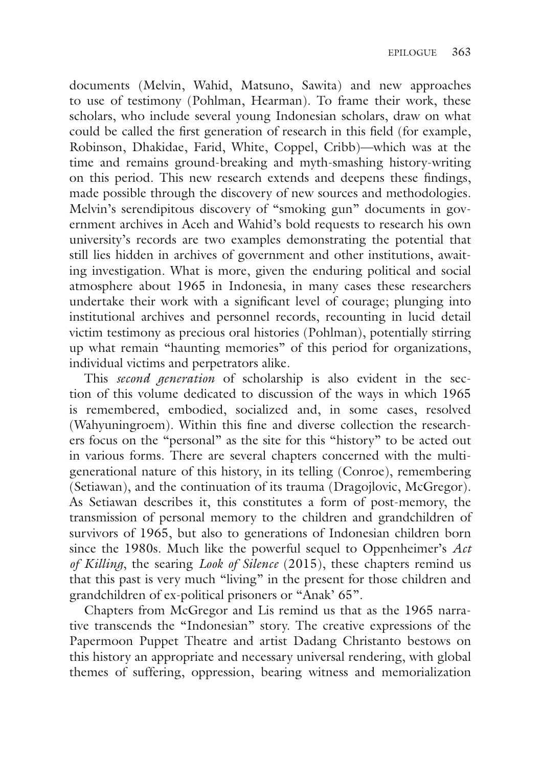documents (Melvin, Wahid, Matsuno, Sawita) and new approaches to use of testimony (Pohlman, Hearman). To frame their work, these scholars, who include several young Indonesian scholars, draw on what could be called the frst generation of research in this feld (for example, Robinson, Dhakidae, Farid, White, Coppel, Cribb)—which was at the time and remains ground-breaking and myth-smashing history-writing on this period. This new research extends and deepens these fndings, made possible through the discovery of new sources and methodologies. Melvin's serendipitous discovery of "smoking gun" documents in government archives in Aceh and Wahid's bold requests to research his own university's records are two examples demonstrating the potential that still lies hidden in archives of government and other institutions, awaiting investigation. What is more, given the enduring political and social atmosphere about 1965 in Indonesia, in many cases these researchers undertake their work with a signifcant level of courage; plunging into institutional archives and personnel records, recounting in lucid detail victim testimony as precious oral histories (Pohlman), potentially stirring up what remain "haunting memories" of this period for organizations, individual victims and perpetrators alike.

This *second generation* of scholarship is also evident in the section of this volume dedicated to discussion of the ways in which 1965 is remembered, embodied, socialized and, in some cases, resolved (Wahyuningroem). Within this fne and diverse collection the researchers focus on the "personal" as the site for this "history" to be acted out in various forms. There are several chapters concerned with the multigenerational nature of this history, in its telling (Conroe), remembering (Setiawan), and the continuation of its trauma (Dragojlovic, McGregor). As Setiawan describes it, this constitutes a form of post-memory, the transmission of personal memory to the children and grandchildren of survivors of 1965, but also to generations of Indonesian children born since the 1980s. Much like the powerful sequel to Oppenheimer's *Act of Killing*, the searing *Look of Silence* (2015), these chapters remind us that this past is very much "living" in the present for those children and grandchildren of ex-political prisoners or "Anak' 65".

Chapters from McGregor and Lis remind us that as the 1965 narrative transcends the "Indonesian" story. The creative expressions of the Papermoon Puppet Theatre and artist Dadang Christanto bestows on this history an appropriate and necessary universal rendering, with global themes of suffering, oppression, bearing witness and memorialization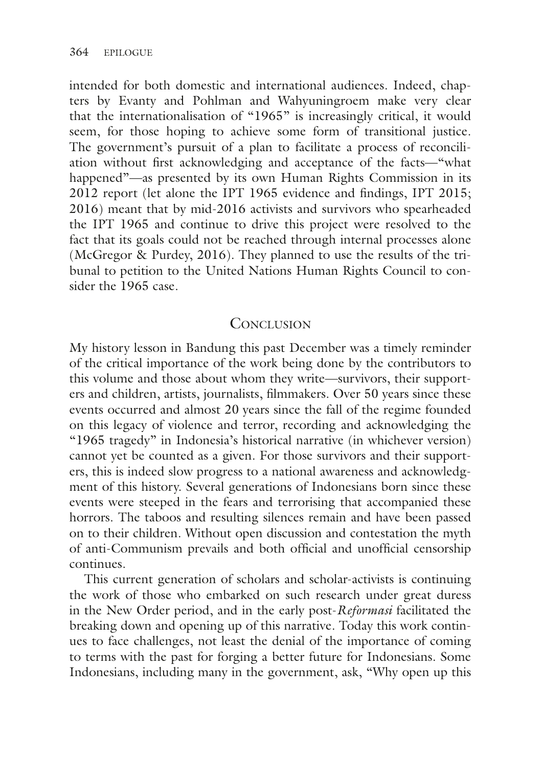intended for both domestic and international audiences. Indeed, chapters by Evanty and Pohlman and Wahyuningroem make very clear that the internationalisation of "1965" is increasingly critical, it would seem, for those hoping to achieve some form of transitional justice. The government's pursuit of a plan to facilitate a process of reconciliation without frst acknowledging and acceptance of the facts—"what happened"—as presented by its own Human Rights Commission in its 2012 report (let alone the IPT 1965 evidence and fndings, IPT 2015; 2016) meant that by mid-2016 activists and survivors who spearheaded the IPT 1965 and continue to drive this project were resolved to the fact that its goals could not be reached through internal processes alone (McGregor & Purdey, 2016). They planned to use the results of the tribunal to petition to the United Nations Human Rights Council to consider the 1965 case.

## CONCLUSION

My history lesson in Bandung this past December was a timely reminder of the critical importance of the work being done by the contributors to this volume and those about whom they write—survivors, their supporters and children, artists, journalists, flmmakers. Over 50 years since these events occurred and almost 20 years since the fall of the regime founded on this legacy of violence and terror, recording and acknowledging the "1965 tragedy" in Indonesia's historical narrative (in whichever version) cannot yet be counted as a given. For those survivors and their supporters, this is indeed slow progress to a national awareness and acknowledgment of this history. Several generations of Indonesians born since these events were steeped in the fears and terrorising that accompanied these horrors. The taboos and resulting silences remain and have been passed on to their children. Without open discussion and contestation the myth of anti-Communism prevails and both offcial and unoffcial censorship continues.

This current generation of scholars and scholar-activists is continuing the work of those who embarked on such research under great duress in the New Order period, and in the early post-*Reformasi* facilitated the breaking down and opening up of this narrative. Today this work continues to face challenges, not least the denial of the importance of coming to terms with the past for forging a better future for Indonesians. Some Indonesians, including many in the government, ask, "Why open up this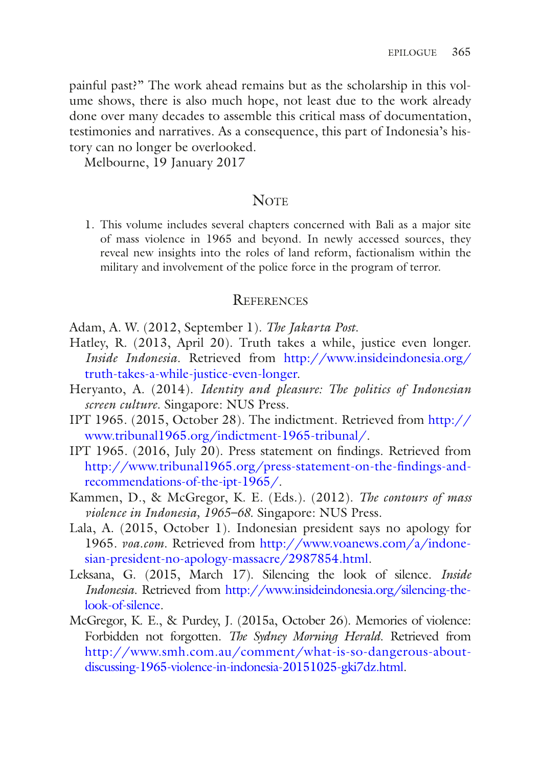painful past?" The work ahead remains but as the scholarship in this volume shows, there is also much hope, not least due to the work already done over many decades to assemble this critical mass of documentation, testimonies and narratives. As a consequence, this part of Indonesia's history can no longer be overlooked.

Melbourne, 19 January 2017

### <span id="page-8-0"></span>**NOTE**

1. This volume includes several chapters concerned with Bali as a major site of mass violence in 1965 and beyond. In newly accessed sources, they reveal new insights into the roles of land reform, factionalism within the military and involvement of the police force in the program of terror.

#### **REFERENCES**

Adam, A. W. (2012, September 1). *The Jakarta Post*.

- Hatley, R. (2013, April 20). Truth takes a while, justice even longer. *Inside Indonesia*. Retrieved from [http://www.insideindonesia.org/](http://www.insideindonesia.org/truth-takes-a-while-justice-even-longer) [truth-takes-a-while-justice-even-longer](http://www.insideindonesia.org/truth-takes-a-while-justice-even-longer).
- Heryanto, A. (2014). *Identity and pleasure: The politics of Indonesian screen culture*. Singapore: NUS Press.
- IPT 1965. (2015, October 28). The indictment. Retrieved from [http://](http://www.tribunal1965.org/indictment-1965-tribunal/) [www.tribunal1965.org/indictment-1965-tribunal/](http://www.tribunal1965.org/indictment-1965-tribunal/).
- IPT 1965. (2016, July 20). Press statement on fndings. Retrieved from [http://www.tribunal1965.org/press-statement-on-the-fndings-and](http://www.tribunal1965.org/press-statement-on-the-findings-and-recommendations-of-the-ipt-1965/)[recommendations-of-the-ipt-1965/](http://www.tribunal1965.org/press-statement-on-the-findings-and-recommendations-of-the-ipt-1965/).
- Kammen, D., & McGregor, K. E. (Eds.). (2012). *The contours of mass violence in Indonesia, 1965–68*. Singapore: NUS Press.
- Lala, A. (2015, October 1). Indonesian president says no apology for 1965. *voa.com*. Retrieved from [http://www.voanews.com/a/indone](http://www.voanews.com/a/indonesian-president-no-apology-massacre/2987854.html)[sian-president-no-apology-massacre/2987854.html.](http://www.voanews.com/a/indonesian-president-no-apology-massacre/2987854.html)
- Leksana, G. (2015, March 17). Silencing the look of silence. *Inside Indonesia.* Retrieved from [http://www.insideindonesia.org/silencing-the](http://www.insideindonesia.org/silencing-the-look-of-silence)[look-of-silence](http://www.insideindonesia.org/silencing-the-look-of-silence).
- McGregor, K. E., & Purdey, J. (2015a, October 26). Memories of violence: Forbidden not forgotten. *The Sydney Morning Herald*. Retrieved from [http://www.smh.com.au/comment/what-is-so-dangerous-about](http://www.smh.com.au/comment/what-is-so-dangerous-about-discussing-1965-violence-in-indonesia-20151025-gki7dz.html)[discussing-1965-violence-in-indonesia-20151025-gki7dz.html.](http://www.smh.com.au/comment/what-is-so-dangerous-about-discussing-1965-violence-in-indonesia-20151025-gki7dz.html)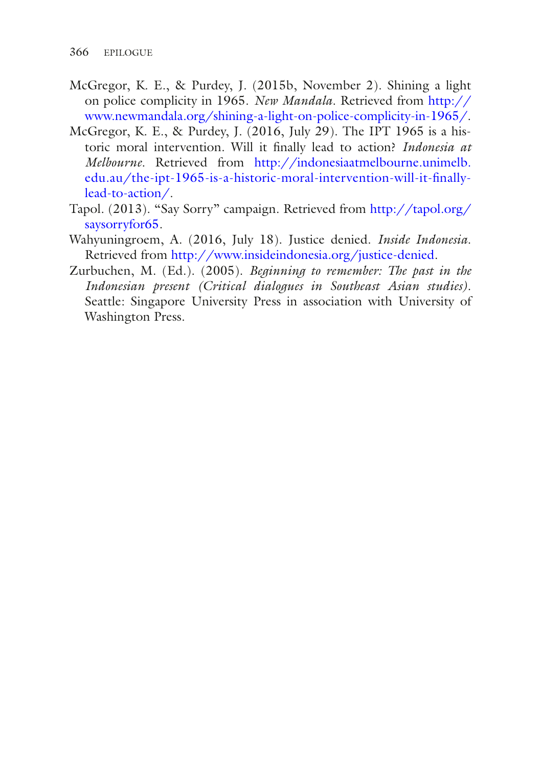- McGregor, K. E., & Purdey, J. (2015b, November 2). Shining a light on police complicity in 1965. *New Mandala*. Retrieved from [http://](http://www.newmandala.org/shining-a-light-on-police-complicity-in-1965/) [www.newmandala.org/shining-a-light-on-police-complicity-in-1965/.](http://www.newmandala.org/shining-a-light-on-police-complicity-in-1965/)
- McGregor, K. E., & Purdey, J. (2016, July 29). The IPT 1965 is a historic moral intervention. Will it fnally lead to action? *Indonesia at Melbourne.* Retrieved from [http://indonesiaatmelbourne.unimelb.](http://indonesiaatmelbourne.unimelb.edu.au/the-ipt-1965-is-a-historic-moral-intervention-will-it-finally-lead-to-action/) [edu.au/the-ipt-1965-is-a-historic-moral-intervention-will-it-fnally](http://indonesiaatmelbourne.unimelb.edu.au/the-ipt-1965-is-a-historic-moral-intervention-will-it-finally-lead-to-action/)[lead-to-action/.](http://indonesiaatmelbourne.unimelb.edu.au/the-ipt-1965-is-a-historic-moral-intervention-will-it-finally-lead-to-action/)
- Tapol. (2013). "Say Sorry" campaign. Retrieved from [http://tapol.org/](http://tapol.org/saysorryfor65) [saysorryfor65.](http://tapol.org/saysorryfor65)
- Wahyuningroem, A. (2016, July 18). Justice denied. *Inside Indonesia*. Retrieved from <http://www.insideindonesia.org/justice-denied>.
- Zurbuchen, M. (Ed.). (2005). *Beginning to remember: The past in the Indonesian present (Critical dialogues in Southeast Asian studies)*. Seattle: Singapore University Press in association with University of Washington Press.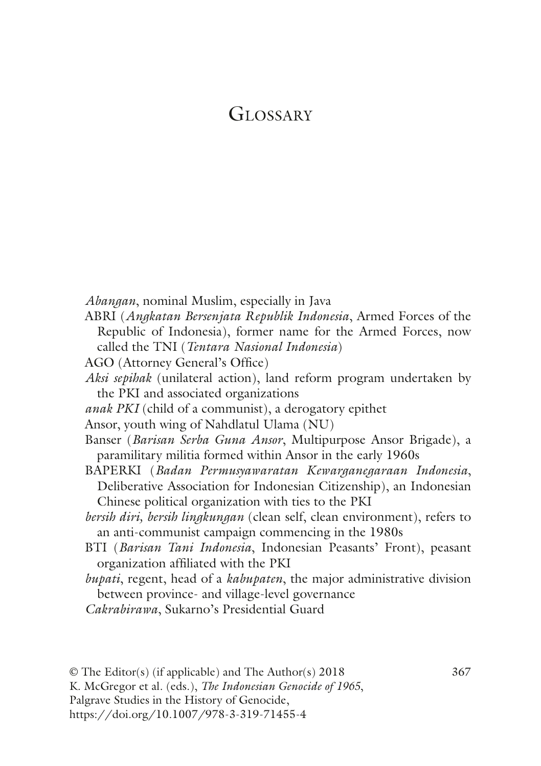# GLOSSARY

- *Abangan*, nominal Muslim, especially in Java
- ABRI (*Angkatan Bersenjata Republik Indonesia*, Armed Forces of the Republic of Indonesia), former name for the Armed Forces, now called the TNI (*Tentara Nasional Indonesia*)
- AGO (Attorney General's Office)
- *Aksi sepihak* (unilateral action), land reform program undertaken by the PKI and associated organizations
- *anak PKI* (child of a communist), a derogatory epithet
- Ansor, youth wing of Nahdlatul Ulama (NU)
- Banser (*Barisan Serba Guna Ansor*, Multipurpose Ansor Brigade), a paramilitary militia formed within Ansor in the early 1960s
- BAPERKI (*Badan Permusyawaratan Kewarganegaraan Indonesia*, Deliberative Association for Indonesian Citizenship), an Indonesian Chinese political organization with ties to the PKI
- *bersih diri, bersih lingkungan* (clean self, clean environment), refers to an anti-communist campaign commencing in the 1980s
- BTI (*Barisan Tani Indonesia*, Indonesian Peasants' Front), peasant organization affliated with the PKI
- *bupati*, regent, head of a *kabupaten*, the major administrative division between province- and village-level governance

*Cakrabirawa*, Sukarno's Presidential Guard

© The Editor(s) (if applicable) and The Author(s) 2018 367 K. McGregor et al. (eds.), *The Indonesian Genocide of 1965*, Palgrave Studies in the History of Genocide, https://doi.org/10.1007/978-3-319-71455-4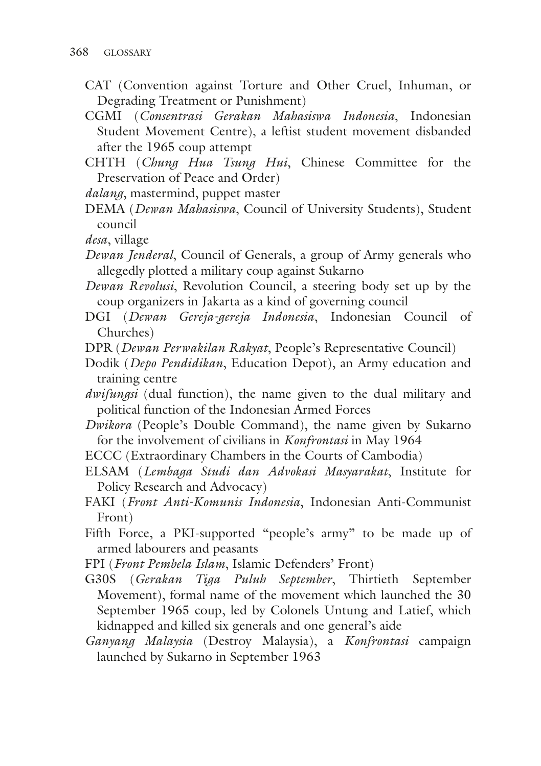- CAT (Convention against Torture and Other Cruel, Inhuman, or Degrading Treatment or Punishment)
- CGMI (*Consentrasi Gerakan Mahasiswa Indonesia*, Indonesian Student Movement Centre), a leftist student movement disbanded after the 1965 coup attempt
- CHTH (*Chung Hua Tsung Hui*, Chinese Committee for the Preservation of Peace and Order)
- *dalang*, mastermind, puppet master
- DEMA (*Dewan Mahasiswa*, Council of University Students), Student council
- *desa*, village
- *Dewan Jenderal*, Council of Generals, a group of Army generals who allegedly plotted a military coup against Sukarno
- *Dewan Revolusi*, Revolution Council, a steering body set up by the coup organizers in Jakarta as a kind of governing council
- DGI (*Dewan Gereja-gereja Indonesia*, Indonesian Council of Churches)
- DPR (*Dewan Perwakilan Rakyat*, People's Representative Council)
- Dodik (*Depo Pendidikan*, Education Depot), an Army education and training centre
- *dwifungsi* (dual function), the name given to the dual military and political function of the Indonesian Armed Forces
- *Dwikora* (People's Double Command), the name given by Sukarno for the involvement of civilians in *Konfrontasi* in May 1964
- ECCC (Extraordinary Chambers in the Courts of Cambodia)
- ELSAM (*Lembaga Studi dan Advokasi Masyarakat*, Institute for Policy Research and Advocacy)
- FAKI (*Front Anti-Komunis Indonesia*, Indonesian Anti-Communist Front)
- Fifth Force, a PKI-supported "people's army" to be made up of armed labourers and peasants
- FPI (*Front Pembela Islam*, Islamic Defenders' Front)
- G30S (*Gerakan Tiga Puluh September*, Thirtieth September Movement), formal name of the movement which launched the 30 September 1965 coup, led by Colonels Untung and Latief, which kidnapped and killed six generals and one general's aide
- *Ganyang Malaysia* (Destroy Malaysia), a *Konfrontasi* campaign launched by Sukarno in September 1963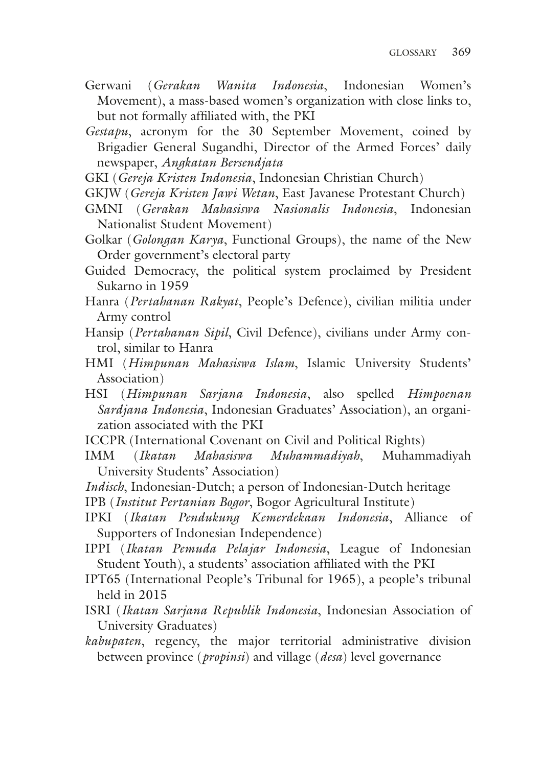- Gerwani (*Gerakan Wanita Indonesia*, Indonesian Women's Movement), a mass-based women's organization with close links to, but not formally affliated with, the PKI
- *Gestapu*, acronym for the 30 September Movement, coined by Brigadier General Sugandhi, Director of the Armed Forces' daily newspaper, *Angkatan Bersendjata*
- GKI (*Gereja Kristen Indonesia*, Indonesian Christian Church)
- GKJW (*Gereja Kristen Jawi Wetan*, East Javanese Protestant Church)
- GMNI (*Gerakan Mahasiswa Nasionalis Indonesia*, Indonesian Nationalist Student Movement)
- Golkar (*Golongan Karya*, Functional Groups), the name of the New Order government's electoral party
- Guided Democracy, the political system proclaimed by President Sukarno in 1959
- Hanra (*Pertahanan Rakyat*, People's Defence), civilian militia under Army control
- Hansip (*Pertahanan Sipil*, Civil Defence), civilians under Army control, similar to Hanra
- HMI (*Himpunan Mahasiswa Islam*, Islamic University Students' Association)
- HSI (*Himpunan Sarjana Indonesia*, also spelled *Himpoenan Sardjana Indonesia*, Indonesian Graduates' Association), an organization associated with the PKI
- ICCPR (International Covenant on Civil and Political Rights)
- IMM (*Ikatan Mahasiswa Muhammadiyah*, Muhammadiyah University Students' Association)
- *Indisch*, Indonesian-Dutch; a person of Indonesian-Dutch heritage
- IPB (*Institut Pertanian Bogor*, Bogor Agricultural Institute)
- IPKI (*Ikatan Pendukung Kemerdekaan Indonesia*, Alliance of Supporters of Indonesian Independence)
- IPPI (*Ikatan Pemuda Pelajar Indonesia*, League of Indonesian Student Youth), a students' association affliated with the PKI
- IPT65 (International People's Tribunal for 1965), a people's tribunal held in 2015
- ISRI (*Ikatan Sarjana Republik Indonesia*, Indonesian Association of University Graduates)
- *kabupaten*, regency, the major territorial administrative division between province (*propinsi*) and village (*desa*) level governance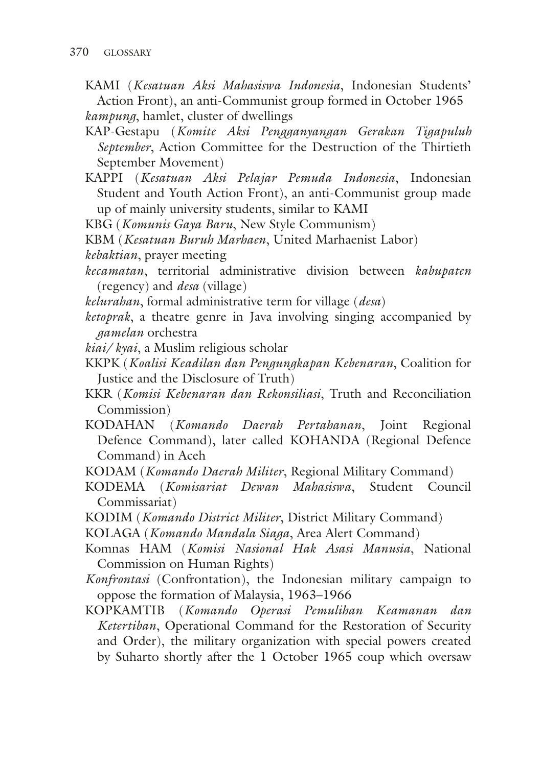- KAMI (*Kesatuan Aksi Mahasiswa Indonesia*, Indonesian Students' Action Front), an anti-Communist group formed in October 1965 *kampung*, hamlet, cluster of dwellings
- KAP-Gestapu (*Komite Aksi Pengganyangan Gerakan Tigapuluh September*, Action Committee for the Destruction of the Thirtieth September Movement)
- KAPPI (*Kesatuan Aksi Pelajar Pemuda Indonesia*, Indonesian Student and Youth Action Front), an anti-Communist group made up of mainly university students, similar to KAMI
- KBG (*Komunis Gaya Baru*, New Style Communism)
- KBM (*Kesatuan Buruh Marhaen*, United Marhaenist Labor)
- *kebaktian*, prayer meeting
- *kecamatan*, territorial administrative division between *kabupaten* (regency) and *desa* (village)
- *kelurahan*, formal administrative term for village (*desa*)
- *ketoprak*, a theatre genre in Java involving singing accompanied by *gamelan* orchestra
- *kiai/ kyai*, a Muslim religious scholar
- KKPK (*Koalisi Keadilan dan Pengungkapan Kebenaran*, Coalition for Justice and the Disclosure of Truth)
- KKR (*Komisi Kebenaran dan Rekonsiliasi*, Truth and Reconciliation Commission)
- KODAHAN (*Komando Daerah Pertahanan*, Joint Regional Defence Command), later called KOHANDA (Regional Defence Command) in Aceh
- KODAM (*Komando Daerah Militer*, Regional Military Command)
- KODEMA (*Komisariat Dewan Mahasiswa*, Student Council Commissariat)
- KODIM (*Komando District Militer*, District Military Command)
- KOLAGA (*Komando Mandala Siaga*, Area Alert Command)
- Komnas HAM (*Komisi Nasional Hak Asasi Manusia*, National Commission on Human Rights)
- *Konfrontasi* (Confrontation), the Indonesian military campaign to oppose the formation of Malaysia, 1963–1966
- KOPKAMTIB (*Komando Operasi Pemulihan Keamanan dan Ketertiban*, Operational Command for the Restoration of Security and Order), the military organization with special powers created by Suharto shortly after the 1 October 1965 coup which oversaw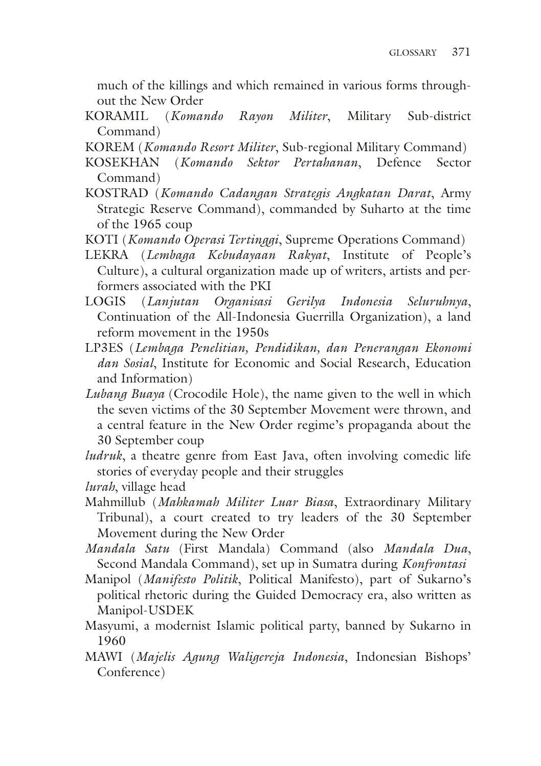much of the killings and which remained in various forms throughout the New Order

- KORAMIL (*Komando Rayon Militer*, Military Sub-district Command)
- KOREM (*Komando Resort Militer*, Sub-regional Military Command)
- KOSEKHAN (*Komando Sektor Pertahanan*, Defence Sector Command)
- KOSTRAD (*Komando Cadangan Strategis Angkatan Darat*, Army Strategic Reserve Command), commanded by Suharto at the time of the 1965 coup
- KOTI (*Komando Operasi Tertinggi*, Supreme Operations Command)
- LEKRA (*Lembaga Kebudayaan Rakyat*, Institute of People's Culture), a cultural organization made up of writers, artists and performers associated with the PKI
- LOGIS (*Lanjutan Organisasi Gerilya Indonesia Seluruhnya*, Continuation of the All-Indonesia Guerrilla Organization), a land reform movement in the 1950s
- LP3ES (*Lembaga Penelitian, Pendidikan, dan Penerangan Ekonomi dan Sosial*, Institute for Economic and Social Research, Education and Information)
- *Lubang Buaya* (Crocodile Hole), the name given to the well in which the seven victims of the 30 September Movement were thrown, and a central feature in the New Order regime's propaganda about the 30 September coup
- *ludruk*, a theatre genre from East Java, often involving comedic life stories of everyday people and their struggles
- *lurah*, village head
- Mahmillub (*Mahkamah Militer Luar Biasa*, Extraordinary Military Tribunal), a court created to try leaders of the 30 September Movement during the New Order
- *Mandala Satu* (First Mandala) Command (also *Mandala Dua*, Second Mandala Command), set up in Sumatra during *Konfrontasi*
- Manipol (*Manifesto Politik*, Political Manifesto), part of Sukarno's political rhetoric during the Guided Democracy era, also written as Manipol-USDEK
- Masyumi, a modernist Islamic political party, banned by Sukarno in 1960
- MAWI (*Majelis Agung Waligereja Indonesia*, Indonesian Bishops' Conference)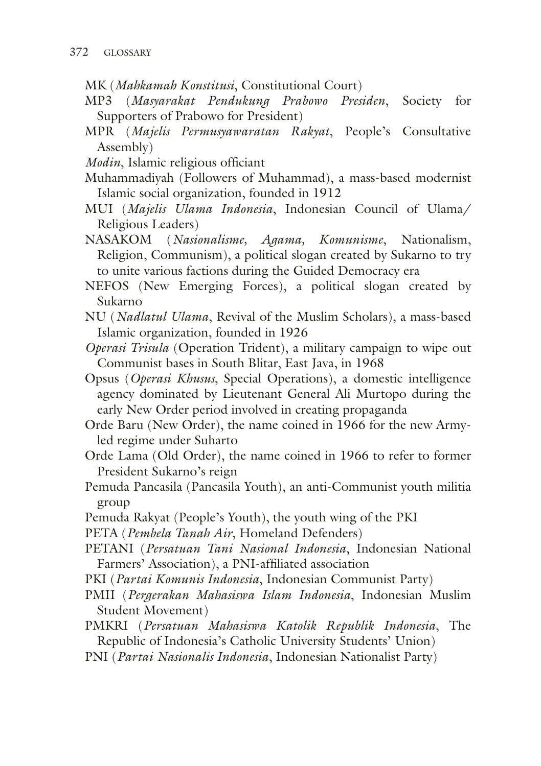- MK (*Mahkamah Konstitusi*, Constitutional Court)
- MP3 (*Masyarakat Pendukung Prabowo Presiden*, Society for Supporters of Prabowo for President)
- MPR (*Majelis Permusyawaratan Rakyat*, People's Consultative Assembly)
- *Modin*, Islamic religious officiant
- Muhammadiyah (Followers of Muhammad), a mass-based modernist Islamic social organization, founded in 1912
- MUI (*Majelis Ulama Indonesia*, Indonesian Council of Ulama/ Religious Leaders)
- NASAKOM (*Nasionalisme, Agama, Komunisme*, Nationalism, Religion, Communism), a political slogan created by Sukarno to try to unite various factions during the Guided Democracy era
- NEFOS (New Emerging Forces), a political slogan created by Sukarno
- NU (*Nadlatul Ulama*, Revival of the Muslim Scholars), a mass-based Islamic organization, founded in 1926
- *Operasi Trisula* (Operation Trident), a military campaign to wipe out Communist bases in South Blitar, East Java, in 1968
- Opsus (*Operasi Khusus*, Special Operations), a domestic intelligence agency dominated by Lieutenant General Ali Murtopo during the early New Order period involved in creating propaganda
- Orde Baru (New Order), the name coined in 1966 for the new Armyled regime under Suharto
- Orde Lama (Old Order), the name coined in 1966 to refer to former President Sukarno's reign
- Pemuda Pancasila (Pancasila Youth), an anti-Communist youth militia group
- Pemuda Rakyat (People's Youth), the youth wing of the PKI
- PETA (*Pembela Tanah Air*, Homeland Defenders)
- PETANI (*Persatuan Tani Nasional Indonesia*, Indonesian National Farmers' Association), a PNI-affliated association
- PKI (*Partai Komunis Indonesia*, Indonesian Communist Party)
- PMII (*Pergerakan Mahasiswa Islam Indonesia*, Indonesian Muslim Student Movement)
- PMKRI (*Persatuan Mahasiswa Katolik Republik Indonesia*, The Republic of Indonesia's Catholic University Students' Union)
- PNI (*Partai Nasionalis Indonesia*, Indonesian Nationalist Party)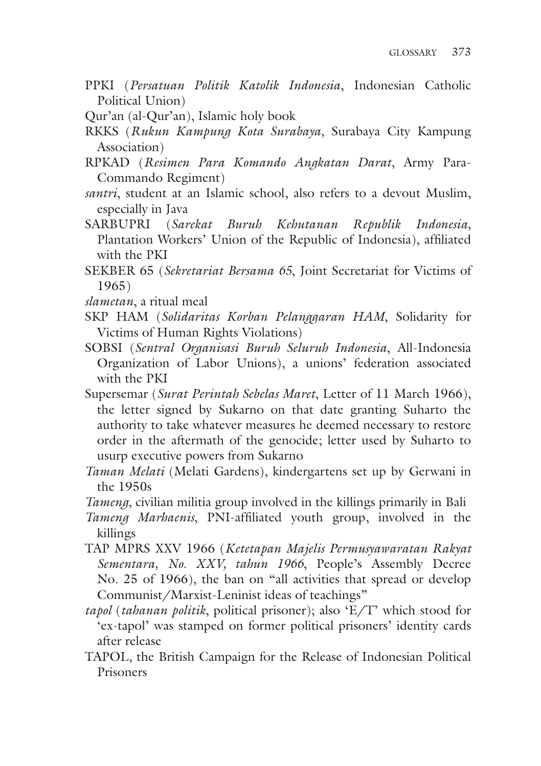- PPKI (*Persatuan Politik Katolik Indonesia*, Indonesian Catholic Political Union)
- Qur'an (al-Qur'an), Islamic holy book
- RKKS (*Rukun Kampung Kota Surabaya*, Surabaya City Kampung Association)
- RPKAD (*Resimen Para Komando Angkatan Darat*, Army Para-Commando Regiment)
- *santri*, student at an Islamic school, also refers to a devout Muslim, especially in Java
- SARBUPRI (*Sarekat Buruh Kehutanan Republik Indonesia*, Plantation Workers' Union of the Republic of Indonesia), affliated with the PKI
- SEKBER 65 (*Sekretariat Bersama 65*, Joint Secretariat for Victims of 1965)
- *slametan*, a ritual meal
- SKP HAM (*Solidaritas Korban Pelanggaran HAM*, Solidarity for Victims of Human Rights Violations)
- SOBSI (*Sentral Organisasi Buruh Seluruh Indonesia*, All-Indonesia Organization of Labor Unions), a unions' federation associated with the PKI
- Supersemar (*Surat Perintah Sebelas Maret*, Letter of 11 March 1966), the letter signed by Sukarno on that date granting Suharto the authority to take whatever measures he deemed necessary to restore order in the aftermath of the genocide; letter used by Suharto to usurp executive powers from Sukarno
- *Taman Melati* (Melati Gardens), kindergartens set up by Gerwani in the 1950s
- *Tameng*, civilian militia group involved in the killings primarily in Bali
- *Tameng Marhaenis*, PNI-affliated youth group, involved in the killings
- TAP MPRS XXV 1966 (*Ketetapan Majelis Permusyawaratan Rakyat Sementara, No. XXV, tahun 1966*, People's Assembly Decree No. 25 of 1966), the ban on "all activities that spread or develop Communist/Marxist-Leninist ideas of teachings"
- *tapol* (*tahanan politik*, political prisoner); also 'E/T' which stood for 'ex-tapol' was stamped on former political prisoners' identity cards after release
- TAPOL, the British Campaign for the Release of Indonesian Political Prisoners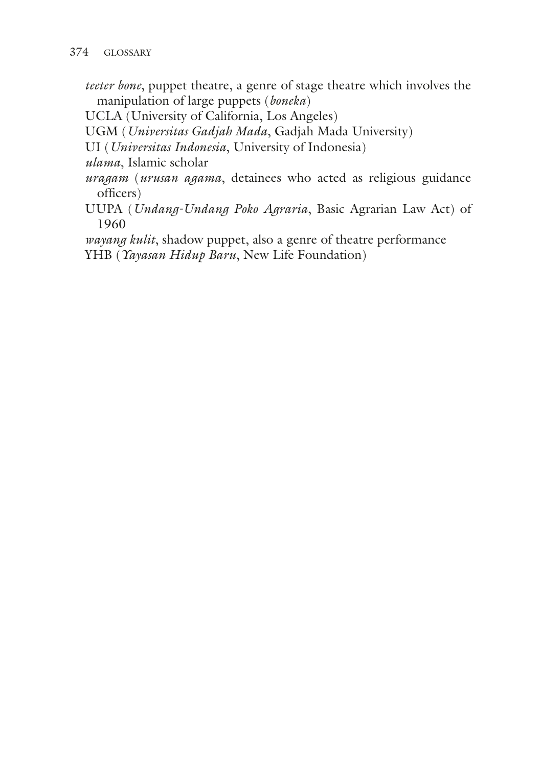*teeter bone*, puppet theatre, a genre of stage theatre which involves the manipulation of large puppets (*boneka*)

UCLA (University of California, Los Angeles)

UGM (*Universitas Gadjah Mada*, Gadjah Mada University)

UI (*Universitas Indonesia*, University of Indonesia)

*ulama*, Islamic scholar

- *uragam* (*urusan agama*, detainees who acted as religious guidance offcers)
- UUPA (*Undang-Undang Poko Agraria*, Basic Agrarian Law Act) of 1960

*wayang kulit*, shadow puppet, also a genre of theatre performance YHB (*Yayasan Hidup Baru*, New Life Foundation)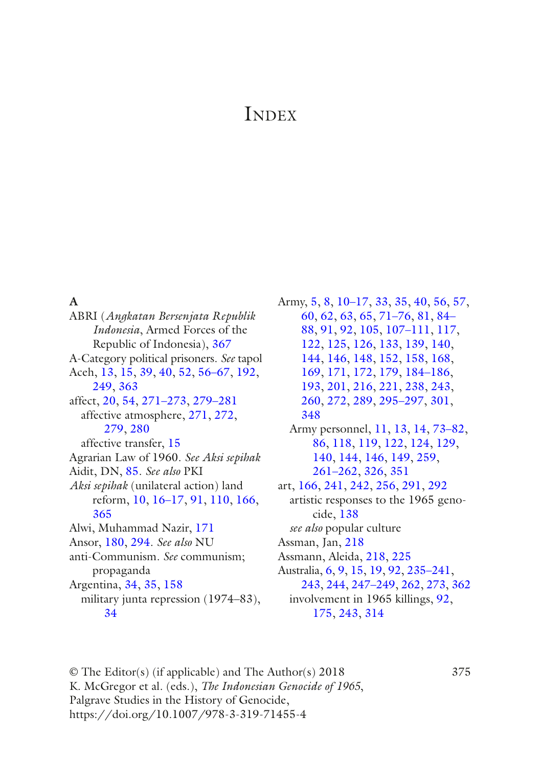# **INDEX**

#### **A**

ABRI (*Angkatan Bersenjata Republik Indonesia*, Armed Forces of the Republic of Indonesia), [367](#page-0-0) A-Category political prisoners. *See* tapol Aceh, [13](#page-0-0), [15](#page-0-0), [39](#page-0-0), [40,](#page-0-0) [52,](#page-0-0) 56–67, [192,](#page-0-0) [249, 363](#page-0-0) affect, [20,](#page-0-0) [54,](#page-0-0) 271–273, 279–281 affective atmosphere, [271](#page-0-0), [272,](#page-0-0) [279, 280](#page-0-0) affective transfer, [15](#page-0-0) Agrarian Law of 1960. *See Aksi sepihak* Aidit, DN, [85.](#page-0-0) *See also* PKI *Aksi sepihak* (unilateral action) land reform, [10](#page-0-0), 16–17, [91,](#page-0-0) [110](#page-0-0), [166](#page-0-0), [365](#page-0-0) Alwi, Muhammad Nazir, [171](#page-0-0) Ansor, [180](#page-0-0), [294.](#page-0-0) *See also* NU anti-Communism. *See* communism; propaganda Argentina, [34,](#page-0-0) [35,](#page-0-0) [158](#page-0-0) military junta repression (1974–83), [34](#page-0-0)

Army, [5](#page-0-0), [8](#page-0-0), 10–17, [33](#page-0-0), [35](#page-0-0), [40](#page-0-0), [56,](#page-0-0) [57,](#page-0-0) [60,](#page-0-0) [62, 63](#page-0-0), [65](#page-0-0), 71–76, [81](#page-0-0), 84– 88, [91, 92](#page-0-0), [105](#page-0-0), 107–111, [117](#page-0-0), [122,](#page-0-0) [125](#page-0-0), [126](#page-0-0), [133](#page-0-0), [139,](#page-0-0) [140,](#page-0-0) [144,](#page-0-0) [146](#page-0-0), [148](#page-0-0), [152](#page-0-0), [158,](#page-0-0) [168,](#page-0-0) [169,](#page-0-0) [171](#page-0-0), [172](#page-0-0), [179](#page-0-0), 184–186, [193,](#page-0-0) [201](#page-0-0), [216](#page-0-0), [221](#page-0-0), [238,](#page-0-0) [243,](#page-0-0) [260,](#page-0-0) [272](#page-0-0), [289](#page-0-0), 295–297, [301](#page-0-0), [348](#page-0-0) Army personnel, [11,](#page-0-0) [13,](#page-0-0) [14,](#page-0-0) 73–82, [86,](#page-0-0) [118](#page-0-0), [119](#page-0-0), [122](#page-0-0), [124](#page-0-0), [129,](#page-0-0) [140,](#page-0-0) [144](#page-0-0), [146](#page-0-0), [149](#page-0-0), [259,](#page-0-0) 261–262, [326,](#page-0-0) [351](#page-0-0) art, [166](#page-0-0), [241,](#page-0-0) [242,](#page-0-0) [256, 291](#page-0-0), [292](#page-0-0) artistic responses to the 1965 genocide, [138](#page-0-0) *see also* popular culture Assman, Jan, [218](#page-0-0) Assmann, Aleida, [218](#page-0-0), [225](#page-0-0) Australia, [6, 9](#page-0-0), [15,](#page-0-0) [19, 92](#page-0-0), 235–241, [243, 244](#page-0-0), 247–249, [262](#page-0-0), [273,](#page-0-0) [362](#page-0-0) involvement in 1965 killings, [92,](#page-0-0) [175,](#page-0-0) [243](#page-0-0), [314](#page-0-0)

© The Editor(s) (if applicable) and The Author(s) 2018 375 K. McGregor et al. (eds.), *The Indonesian Genocide of 1965*, Palgrave Studies in the History of Genocide, https://doi.org/10.1007/978-3-319-71455-4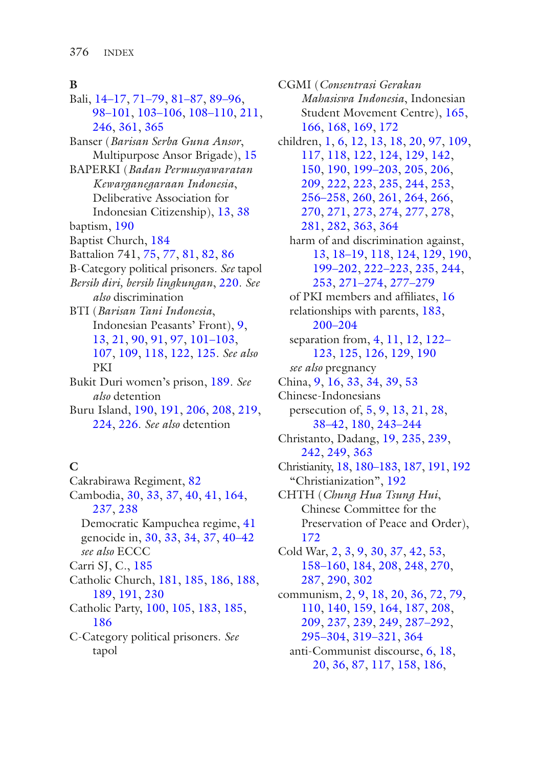#### **B**

Bali, 14–17, 71–79, 81–87, 89–96, 98–101, 103–106, 108–110, [211](#page-0-0), [246, 361](#page-0-0), [365](#page-0-0) Banser (*Barisan Serba Guna Ansor*, Multipurpose Ansor Brigade), [15](#page-0-0) BAPERKI (*Badan Permusyawaratan Kewarganegaraan Indonesia*, Deliberative Association for Indonesian Citizenship), [13,](#page-0-0) [38](#page-0-0) baptism, [190](#page-0-0) Baptist Church, [184](#page-0-0) Battalion 741, [75](#page-0-0), [77](#page-0-0), [81,](#page-0-0) [82,](#page-0-0) [86](#page-0-0) B-Category political prisoners. *See* tapol *Bersih diri, bersih lingkungan*, [220](#page-0-0). *See also* discrimination BTI (*Barisan Tani Indonesia*, Indonesian Peasants' Front), [9](#page-0-0), [13,](#page-0-0) [21](#page-0-0), [90](#page-0-0), [91](#page-0-0), [97](#page-0-0), 101–103, [107, 109](#page-0-0), [118](#page-0-0), [122](#page-0-0), [125.](#page-0-0) *See also* PKI Bukit Duri women's prison, [189](#page-0-0). *See also* detention Buru Island, [190](#page-0-0), [191](#page-0-0), [206,](#page-0-0) [208,](#page-0-0) [219,](#page-0-0) [224, 226](#page-0-0). *See also* detention

#### **C**

Cakrabirawa Regiment, [82](#page-0-0) Cambodia, [30,](#page-0-0) [33,](#page-0-0) [37,](#page-0-0) [40,](#page-0-0) [41](#page-0-0), [164](#page-0-0), [237, 238](#page-0-0) Democratic Kampuchea regime, [41](#page-0-0) genocide in, [30](#page-0-0), [33,](#page-0-0) [34,](#page-0-0) [37,](#page-0-0) 40–42 *see also* ECCC Carri SJ, C., [185](#page-0-0) Catholic Church, [181](#page-0-0), [185](#page-0-0), [186](#page-0-0), [188](#page-0-0), [189, 191](#page-0-0), [230](#page-0-0) Catholic Party, [100](#page-0-0), [105](#page-0-0), [183,](#page-0-0) [185,](#page-0-0) [186](#page-0-0) C-Category political prisoners. *See* tapol

CGMI (*Consentrasi Gerakan Mahasiswa Indonesia*, Indonesian Student Movement Centre), [165,](#page-0-0) [166,](#page-0-0) [168](#page-0-0), [169](#page-0-0), [172](#page-0-0) children, [1](#page-0-0), [6](#page-0-0), [12](#page-0-0), [13](#page-0-0), [18,](#page-0-0) [20,](#page-0-0) [97,](#page-0-0) [109,](#page-0-0) [117,](#page-0-0) [118](#page-0-0), [122](#page-0-0), [124](#page-0-0), [129,](#page-0-0) [142,](#page-0-0) [150,](#page-0-0) [190](#page-0-0), 199–203, [205, 206](#page-0-0), [209,](#page-0-0) [222](#page-0-0), [223](#page-0-0), [235](#page-0-0), [244,](#page-0-0) [253,](#page-0-0) 256–258, [260,](#page-0-0) [261,](#page-0-0) [264, 266](#page-0-0), [270,](#page-0-0) [271](#page-0-0), [273](#page-0-0), [274](#page-0-0), [277,](#page-0-0) [278,](#page-0-0) [281,](#page-0-0) [282](#page-0-0), [363](#page-0-0), [364](#page-0-0) harm of and discrimination against, [13,](#page-0-0) 18–19, [118,](#page-0-0) [124,](#page-0-0) [129](#page-0-0), [190](#page-0-0), 199–202, 222–223, [235](#page-0-0), [244,](#page-0-0) [253,](#page-0-0) 271–274, 277–279 of PKI members and affliates, [16](#page-0-0) relationships with parents, [183](#page-0-0), 200–204 separation from, [4,](#page-0-0) [11, 12](#page-0-0), 122– 123, [125](#page-0-0), [126](#page-0-0), [129](#page-0-0), [190](#page-0-0) *see also* pregnancy China, [9,](#page-0-0) [16](#page-0-0), [33](#page-0-0), [34](#page-0-0), [39](#page-0-0), [53](#page-0-0) Chinese-Indonesians persecution of, [5](#page-0-0), [9](#page-0-0), [13](#page-0-0), [21,](#page-0-0) [28,](#page-0-0) 38–42, [180,](#page-0-0) 243–244 Christanto, Dadang, [19,](#page-0-0) [235](#page-0-0), [239](#page-0-0), [242,](#page-0-0) [249](#page-0-0), [363](#page-0-0) Christianity, [18,](#page-0-0) 180–183, [187](#page-0-0), [191](#page-0-0), [192](#page-0-0) "Christianization", [192](#page-0-0) CHTH (*Chung Hua Tsung Hui*, Chinese Committee for the Preservation of Peace and Order), [172](#page-0-0) Cold War, [2](#page-0-0), [3](#page-0-0), [9,](#page-0-0) [30,](#page-0-0) [37,](#page-0-0) [42,](#page-0-0) [53](#page-0-0), 158–160, [184,](#page-0-0) [208,](#page-0-0) [248, 270](#page-0-0), [287,](#page-0-0) [290](#page-0-0), [302](#page-0-0) communism, [2](#page-0-0), [9](#page-0-0), [18](#page-0-0), [20,](#page-0-0) [36,](#page-0-0) [72,](#page-0-0) [79,](#page-0-0) [110,](#page-0-0) [140](#page-0-0), [159](#page-0-0), [164](#page-0-0), [187,](#page-0-0) [208,](#page-0-0) [209,](#page-0-0) [237](#page-0-0), [239](#page-0-0), [249](#page-0-0), 287–292, 295–304, 319–321, [364](#page-0-0) anti-Communist discourse, [6,](#page-0-0) [18,](#page-0-0) [20,](#page-0-0) [36, 87](#page-0-0), [117](#page-0-0), [158](#page-0-0), [186,](#page-0-0)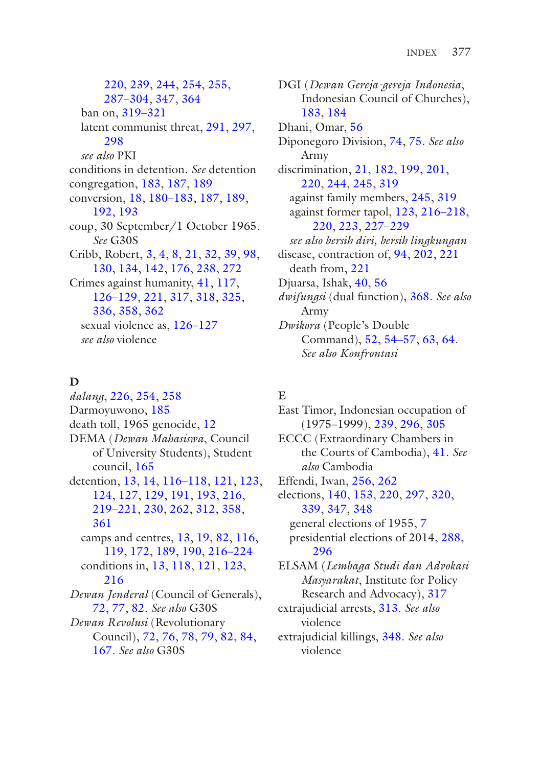[220, 239](#page-0-0), [244](#page-0-0), [254](#page-0-0), [255,](#page-0-0) 287–304, [347,](#page-0-0) [364](#page-0-0) ban on, 319–321 latent communist threat, [291](#page-0-0), [297](#page-0-0), [298](#page-0-0) *see also* PKI conditions in detention. *See* detention congregation, [183,](#page-0-0) [187,](#page-0-0) [189](#page-0-0) conversion, [18](#page-0-0), 180–183, [187](#page-0-0), [189](#page-0-0), [192, 193](#page-0-0) coup, 30 September/1 October 1965. *See* G30S Cribb, Robert, [3](#page-0-0), [4](#page-0-0), [8,](#page-0-0) [21,](#page-0-0) [32,](#page-0-0) [39,](#page-0-0) [98](#page-0-0), [130, 134](#page-0-0), [142](#page-0-0), [176](#page-0-0), [238,](#page-0-0) [272](#page-0-0) Crimes against humanity, [41](#page-0-0), [117](#page-0-0), 126–129, [221,](#page-0-0) [317,](#page-0-0) [318](#page-0-0), [325](#page-0-0), [336, 358](#page-0-0), [362](#page-0-0) sexual violence as, 126–127 *see also* violence

### **D**

*dalang*, [226,](#page-0-0) [254,](#page-0-0) [258](#page-0-0) Darmoyuwono, [185](#page-0-0) death toll, 1965 genocide, [12](#page-0-0) DEMA (*Dewan Mahasiswa*, Council of University Students), Student council, [165](#page-0-0) detention, [13,](#page-0-0) [14,](#page-0-0) 116–118, [121,](#page-0-0) [123](#page-0-0), [124, 127](#page-0-0), [129](#page-0-0), [191](#page-0-0), [193,](#page-0-0) [216,](#page-0-0) 219–221, [230,](#page-0-0) [262,](#page-0-0) [312](#page-0-0), [358](#page-0-0), [361](#page-0-0) camps and centres, [13,](#page-0-0) [19,](#page-0-0) [82,](#page-0-0) [116,](#page-0-0) [119, 172](#page-0-0), [189](#page-0-0), [190](#page-0-0), 216–224 conditions in, [13](#page-0-0), [118](#page-0-0), [121](#page-0-0), [123](#page-0-0), [216](#page-0-0) *Dewan Jenderal* (Council of Generals), [72,](#page-0-0) [77](#page-0-0), [82](#page-0-0). *See also* G30S *Dewan Revolusi* (Revolutionary Council), [72,](#page-0-0) [76,](#page-0-0) [78](#page-0-0), [79](#page-0-0), [82](#page-0-0), [84](#page-0-0), [167.](#page-0-0) *See also* G30S

DGI (*Dewan Gereja-gereja Indonesia*, Indonesian Council of Churches), [183,](#page-0-0) [184](#page-0-0) Dhani, Omar, [56](#page-0-0) Diponegoro Division, [74](#page-0-0), [75](#page-0-0). *See also* Army discrimination, [21](#page-0-0), [182,](#page-0-0) [199,](#page-0-0) [201,](#page-0-0) [220,](#page-0-0) [244](#page-0-0), [245](#page-0-0), [319](#page-0-0) against family members, [245](#page-0-0), [319](#page-0-0) against former tapol, [123,](#page-0-0) 216–218, [220,](#page-0-0) [223](#page-0-0), 227–229 *see also bersih diri, bersih lingkungan* disease, contraction of, [94](#page-0-0), [202](#page-0-0), [221](#page-0-0) death from, [221](#page-0-0) Djuarsa, Ishak, [40](#page-0-0), [56](#page-0-0) *dwifungsi* (dual function), [368](#page-0-0). *See also* Army *Dwikora* (People's Double Command), [52](#page-0-0), 54–57, [63, 64](#page-0-0). *See also Konfrontasi*

## **E**

East Timor, Indonesian occupation of (1975–1999), [239,](#page-0-0) [296,](#page-0-0) [305](#page-0-0) ECCC (Extraordinary Chambers in the Courts of Cambodia), [41](#page-0-0). *See also* Cambodia Effendi, Iwan, [256](#page-0-0), [262](#page-0-0) elections, [140](#page-0-0), [153](#page-0-0), [220,](#page-0-0) [297,](#page-0-0) [320,](#page-0-0) [339,](#page-0-0) [347](#page-0-0), [348](#page-0-0) general elections of 1955, [7](#page-0-0) presidential elections of 2014, [288,](#page-0-0) [296](#page-0-0) ELSAM (*Lembaga Studi dan Advokasi Masyarakat*, Institute for Policy Research and Advocacy), [317](#page-0-0) extrajudicial arrests, [313.](#page-0-0) *See also* violence extrajudicial killings, [348.](#page-0-0) *See also* violence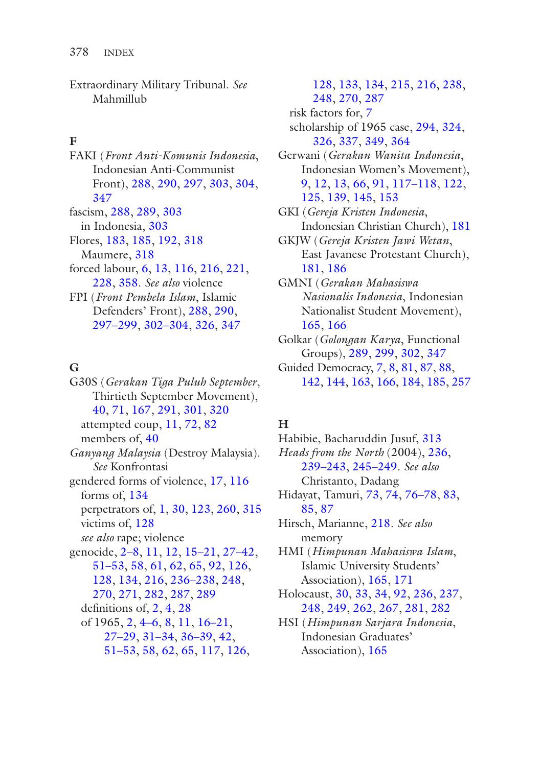Extraordinary Military Tribunal. *See* Mahmillub

#### **F**

FAKI (*Front Anti-Komunis Indonesia*, Indonesian Anti-Communist Front), [288](#page-0-0), [290](#page-0-0), [297](#page-0-0), [303,](#page-0-0) [304,](#page-0-0) [347](#page-0-0) fascism, [288](#page-0-0), [289](#page-0-0), [303](#page-0-0) in Indonesia, [303](#page-0-0)

Flores, [183](#page-0-0), [185](#page-0-0), [192,](#page-0-0) [318](#page-0-0) Maumere, [318](#page-0-0) forced labour, [6](#page-0-0), [13](#page-0-0), [116](#page-0-0), [216](#page-0-0), [221,](#page-0-0) [228, 358](#page-0-0). *See also* violence

FPI (*Front Pembela Islam*, Islamic Defenders' Front), [288](#page-0-0), [290,](#page-0-0) 297–299, 302–304, [326,](#page-0-0) [347](#page-0-0)

## **G**

G30S (*Gerakan Tiga Puluh September*, Thirtieth September Movement), [40,](#page-0-0) [71](#page-0-0), [167](#page-0-0), [291](#page-0-0), [301,](#page-0-0) [320](#page-0-0) attempted coup, [11](#page-0-0), [72](#page-0-0), [82](#page-0-0) members of, [40](#page-0-0) *Ganyang Malaysia* (Destroy Malaysia). *See* Konfrontasi gendered forms of violence, [17](#page-0-0), [116](#page-0-0) forms of, [134](#page-0-0) perpetrators of, [1](#page-0-0), [30](#page-0-0), [123](#page-0-0), [260](#page-0-0), [315](#page-0-0) victims of, [128](#page-0-0) *see also* rape; violence genocide, 2–8, [11](#page-0-0), [12](#page-0-0), 15–21, 27–42, 51–53, [58,](#page-0-0) [61,](#page-0-0) [62,](#page-0-0) [65, 92](#page-0-0), [126](#page-0-0), [128, 134](#page-0-0), [216](#page-0-0), 236–238, [248](#page-0-0), [270, 271](#page-0-0), [282](#page-0-0), [287](#page-0-0), [289](#page-0-0) defnitions of, [2](#page-0-0), [4](#page-0-0), [28](#page-0-0) of 1965, [2](#page-0-0), 4–6, [8](#page-0-0), [11](#page-0-0), 16–21, 27–29, 31–34, 36–39, [42](#page-0-0), 51–53, [58,](#page-0-0) [62,](#page-0-0) [65,](#page-0-0) [117](#page-0-0), [126](#page-0-0),

[128,](#page-0-0) [133](#page-0-0), [134](#page-0-0), [215](#page-0-0), [216,](#page-0-0) [238,](#page-0-0) [248,](#page-0-0) [270](#page-0-0), [287](#page-0-0) risk factors for, [7](#page-0-0) scholarship of 1965 case, [294, 324](#page-0-0), [326,](#page-0-0) [337](#page-0-0), [349](#page-0-0), [364](#page-0-0) Gerwani (*Gerakan Wanita Indonesia*, Indonesian Women's Movement), [9,](#page-0-0) [12,](#page-0-0) [13](#page-0-0), [66](#page-0-0), [91](#page-0-0), 117–118, [122](#page-0-0), [125,](#page-0-0) [139](#page-0-0), [145](#page-0-0), [153](#page-0-0) GKI (*Gereja Kristen Indonesia*, Indonesian Christian Church), [181](#page-0-0) GKJW (*Gereja Kristen Jawi Wetan*, East Javanese Protestant Church), [181,](#page-0-0) [186](#page-0-0) GMNI (*Gerakan Mahasiswa Nasionalis Indonesia*, Indonesian Nationalist Student Movement), [165,](#page-0-0) [166](#page-0-0) Golkar (*Golongan Karya*, Functional Groups), [289,](#page-0-0) [299](#page-0-0), [302](#page-0-0), [347](#page-0-0) Guided Democracy, [7](#page-0-0), [8, 81](#page-0-0), [87,](#page-0-0) [88](#page-0-0), [142](#page-0-0), [144,](#page-0-0) [163](#page-0-0), [166,](#page-0-0) [184](#page-0-0), [185,](#page-0-0) [257](#page-0-0)

# **H**

Habibie, Bacharuddin Jusuf, [313](#page-0-0) *Heads from the North* (2004), [236](#page-0-0), 239–243, 245–249. *See also* Christanto, Dadang Hidayat, Tamuri, [73](#page-0-0), [74](#page-0-0), 76–78, [83](#page-0-0), [85,](#page-0-0) [87](#page-0-0) Hirsch, Marianne, [218](#page-0-0). *See also* memory HMI (*Himpunan Mahasiswa Islam*, Islamic University Students' Association), [165,](#page-0-0) [171](#page-0-0) Holocaust, [30](#page-0-0), [33,](#page-0-0) [34,](#page-0-0) [92,](#page-0-0) [236, 237](#page-0-0), [248,](#page-0-0) [249](#page-0-0), [262](#page-0-0), [267](#page-0-0), [281,](#page-0-0) [282](#page-0-0) HSI (*Himpunan Sarjara Indonesia*, Indonesian Graduates' Association), [165](#page-0-0)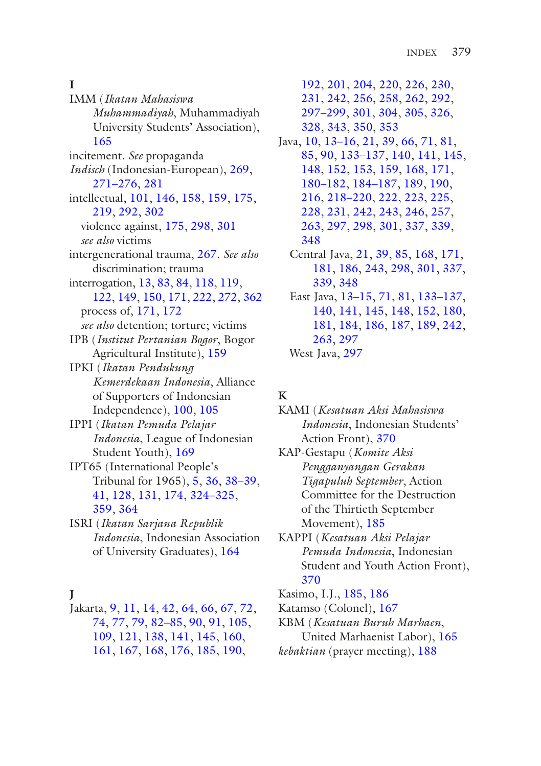#### **I**

IMM (*Ikatan Mahasiswa Muhammadiyah*, Muhammadiyah University Students' Association), [165](#page-0-0) incitement. *See* propaganda *Indisch* (Indonesian-European), [269](#page-0-0), 271–276, [281](#page-0-0) intellectual, [101,](#page-0-0) [146,](#page-0-0) [158](#page-0-0), [159](#page-0-0), [175](#page-0-0), [219, 292](#page-0-0), [302](#page-0-0) violence against, [175](#page-0-0), [298](#page-0-0), [301](#page-0-0) *see also* victims intergenerational trauma, [267](#page-0-0). *See also* discrimination; trauma interrogation, [13](#page-0-0), [83,](#page-0-0) [84](#page-0-0), [118,](#page-0-0) [119](#page-0-0), [122, 149](#page-0-0), [150, 171](#page-0-0), [222, 272,](#page-0-0) [362](#page-0-0) process of, [171](#page-0-0), [172](#page-0-0) *see also* detention; torture; victims IPB (*Institut Pertanian Bogor*, Bogor Agricultural Institute), [159](#page-0-0) IPKI (*Ikatan Pendukung Kemerdekaan Indonesia*, Alliance of Supporters of Indonesian Independence), [100,](#page-0-0) [105](#page-0-0) IPPI (*Ikatan Pemuda Pelajar Indonesia*, League of Indonesian Student Youth), [169](#page-0-0)

- IPT65 (International People's Tribunal for 1965), [5](#page-0-0), [36](#page-0-0), 38–39, [41,](#page-0-0) [128](#page-0-0), [131](#page-0-0), [174](#page-0-0), 324–325, [359, 364](#page-0-0)
- ISRI (*Ikatan Sarjana Republik Indonesia*, Indonesian Association of University Graduates), [164](#page-0-0)

#### **J**

Jakarta, [9,](#page-0-0) [11,](#page-0-0) [14,](#page-0-0) [42,](#page-0-0) [64, 66](#page-0-0), [67](#page-0-0), [72](#page-0-0), [74,](#page-0-0) [77](#page-0-0), [79](#page-0-0), 82–85, [90, 91](#page-0-0), [105](#page-0-0), [109, 121](#page-0-0), [138](#page-0-0), [141](#page-0-0), [145,](#page-0-0) [160,](#page-0-0) [161, 167](#page-0-0), [168](#page-0-0), [176](#page-0-0), [185,](#page-0-0) [190,](#page-0-0)

[192,](#page-0-0) [201](#page-0-0), [204](#page-0-0), [220](#page-0-0), [226,](#page-0-0) [230,](#page-0-0) [231,](#page-0-0) [242](#page-0-0), [256](#page-0-0), [258](#page-0-0), [262,](#page-0-0) [292,](#page-0-0) 297–299, [301,](#page-0-0) [304,](#page-0-0) [305, 326](#page-0-0), [328,](#page-0-0) [343](#page-0-0), [350](#page-0-0), [353](#page-0-0) Java, [10,](#page-0-0) 13–16, [21](#page-0-0), [39](#page-0-0), [66,](#page-0-0) [71,](#page-0-0) [81,](#page-0-0) [85,](#page-0-0) [90,](#page-0-0) 133–137, [140,](#page-0-0) [141](#page-0-0), [145](#page-0-0), [148,](#page-0-0) [152](#page-0-0), [153](#page-0-0), [159](#page-0-0), [168,](#page-0-0) [171,](#page-0-0) 180–182, 184–187, [189](#page-0-0), [190,](#page-0-0) [216,](#page-0-0) 218–220, [222,](#page-0-0) [223, 225](#page-0-0), [228,](#page-0-0) [231](#page-0-0), [242](#page-0-0), [243](#page-0-0), [246,](#page-0-0) [257,](#page-0-0) [263,](#page-0-0) [297](#page-0-0), [298](#page-0-0), [301](#page-0-0), [337,](#page-0-0) [339,](#page-0-0) [348](#page-0-0) Central Java, [21,](#page-0-0) [39,](#page-0-0) [85,](#page-0-0) [168,](#page-0-0) [171](#page-0-0), [181,](#page-0-0) [186](#page-0-0), [243](#page-0-0), [298](#page-0-0), [301,](#page-0-0) [337,](#page-0-0) [339,](#page-0-0) [348](#page-0-0) East Java, 13–15, [71,](#page-0-0) [81](#page-0-0), 133–137, [140,](#page-0-0) [141](#page-0-0), [145](#page-0-0), [148](#page-0-0), [152,](#page-0-0) [180,](#page-0-0) [181,](#page-0-0) [184](#page-0-0), [186](#page-0-0), [187](#page-0-0), [189,](#page-0-0) [242,](#page-0-0) [263,](#page-0-0) [297](#page-0-0) West Java, [297](#page-0-0)

#### **K**

KAMI (*Kesatuan Aksi Mahasiswa Indonesia*, Indonesian Students' Action Front), [370](#page-0-0)

KAP-Gestapu (*Komite Aksi Pengganyangan Gerakan Tigapuluh September*, Action Committee for the Destruction of the Thirtieth September Movement), [185](#page-0-0)

KAPPI (*Kesatuan Aksi Pelajar Pemuda Indonesia*, Indonesian Student and Youth Action Front), [370](#page-0-0)

Kasimo, I.J., [185,](#page-0-0) [186](#page-0-0)

Katamso (Colonel), [167](#page-0-0)

KBM (*Kesatuan Buruh Marhaen*, United Marhaenist Labor), [165](#page-0-0) *kebaktian* (prayer meeting), [188](#page-0-0)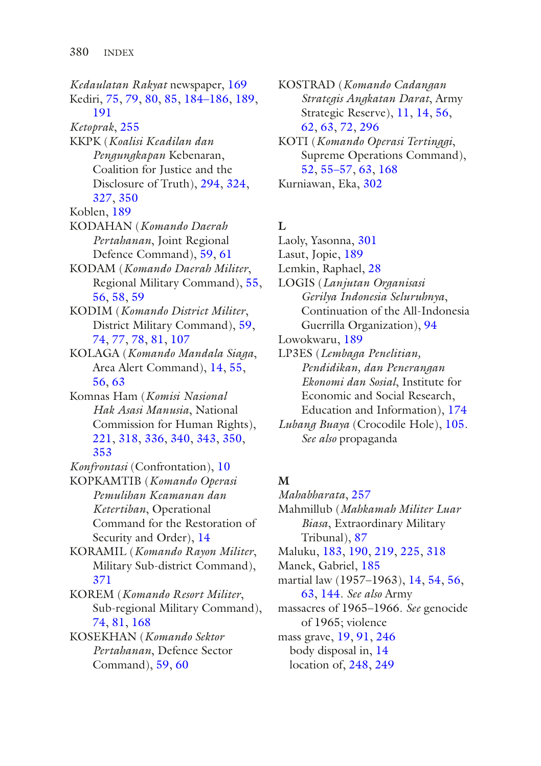*Kedaulatan Rakyat* newspaper, [169](#page-0-0) Kediri, [75](#page-0-0), [79](#page-0-0), [80,](#page-0-0) [85,](#page-0-0) 184–186, [189,](#page-0-0) [191](#page-0-0) *Ketoprak*, [255](#page-0-0) KKPK (*Koalisi Keadilan dan Pengungkapan* Kebenaran, Coalition for Justice and the Disclosure of Truth), [294,](#page-0-0) [324,](#page-0-0) [327, 350](#page-0-0) Koblen, [189](#page-0-0) KODAHAN (*Komando Daerah Pertahanan*, Joint Regional Defence Command), [59](#page-0-0), [61](#page-0-0) KODAM (*Komando Daerah Militer*, Regional Military Command), [55,](#page-0-0) [56,](#page-0-0) [58](#page-0-0), [59](#page-0-0) KODIM (*Komando District Militer*, District Military Command), [59](#page-0-0), [74,](#page-0-0) [77](#page-0-0), [78](#page-0-0), [81](#page-0-0), [107](#page-0-0) KOLAGA (*Komando Mandala Siaga*, Area Alert Command), [14](#page-0-0), [55](#page-0-0), [56,](#page-0-0) [63](#page-0-0) Komnas Ham (*Komisi Nasional Hak Asasi Manusia*, National Commission for Human Rights), [221, 318](#page-0-0), [336](#page-0-0), [340](#page-0-0), [343,](#page-0-0) [350,](#page-0-0) [353](#page-0-0) *Konfrontasi* (Confrontation), [10](#page-0-0) KOPKAMTIB (*Komando Operasi Pemulihan Keamanan dan Ketertiban*, Operational Command for the Restoration of Security and Order), [14](#page-0-0) KORAMIL (*Komando Rayon Militer*, Military Sub-district Command), [371](#page-0-0) KOREM (*Komando Resort Militer*, Sub-regional Military Command), [74,](#page-0-0) [81](#page-0-0), [168](#page-0-0) KOSEKHAN (*Komando Sektor Pertahanan*, Defence Sector Command), [59](#page-0-0), [60](#page-0-0)

KOSTRAD (*Komando Cadangan Strategis Angkatan Darat*, Army Strategic Reserve), [11,](#page-0-0) [14](#page-0-0), [56](#page-0-0), [62,](#page-0-0) [63, 72](#page-0-0), [296](#page-0-0) KOTI (*Komando Operasi Tertinggi*, Supreme Operations Command), [52,](#page-0-0) 55–57, [63,](#page-0-0) [168](#page-0-0) Kurniawan, Eka, [302](#page-0-0)

#### **L**

Laoly, Yasonna, [301](#page-0-0) Lasut, Jopie, [189](#page-0-0) Lemkin, Raphael, [28](#page-0-0) LOGIS (*Lanjutan Organisasi Gerilya Indonesia Seluruhnya*, Continuation of the All-Indonesia Guerrilla Organization), [94](#page-0-0) Lowokwaru, [189](#page-0-0) LP3ES (*Lembaga Penelitian, Pendidikan, dan Penerangan Ekonomi dan Sosial*, Institute for Economic and Social Research, Education and Information), [174](#page-0-0) *Lubang Buaya* (Crocodile Hole), [105.](#page-0-0) *See also* propaganda

## **M**

*Mahabharata*, [257](#page-0-0) Mahmillub (*Mahkamah Militer Luar Biasa*, Extraordinary Military Tribunal), [87](#page-0-0) Maluku, [183](#page-0-0), [190,](#page-0-0) [219,](#page-0-0) [225,](#page-0-0) [318](#page-0-0) Manek, Gabriel, [185](#page-0-0) martial law (1957–1963), [14](#page-0-0), [54](#page-0-0), [56](#page-0-0), [63,](#page-0-0) [144](#page-0-0). *See also* Army massacres of 1965–1966. *See* genocide of 1965; violence mass grave, [19,](#page-0-0) [91,](#page-0-0) [246](#page-0-0) body disposal in, [14](#page-0-0) location of, [248, 249](#page-0-0)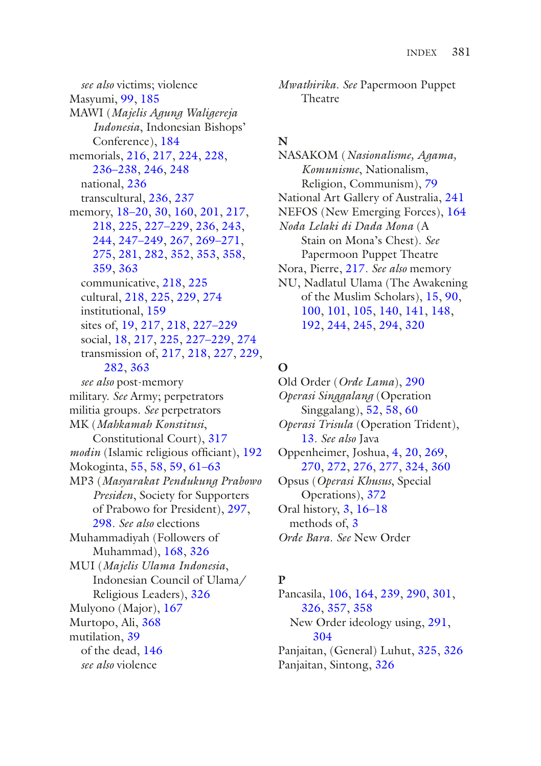*see also* victims; violence Masyumi, [99,](#page-0-0) [185](#page-0-0) MAWI (*Majelis Agung Waligereja Indonesia*, Indonesian Bishops' Conference), [184](#page-0-0) memorials, [216](#page-0-0), [217,](#page-0-0) [224,](#page-0-0) [228,](#page-0-0) 236–238, [246,](#page-0-0) [248](#page-0-0) national, [236](#page-0-0) transcultural, [236,](#page-0-0) [237](#page-0-0) memory, 18–20, [30](#page-0-0), [160](#page-0-0), [201](#page-0-0), [217,](#page-0-0) [218, 225](#page-0-0), 227–229, [236](#page-0-0), [243](#page-0-0), [244,](#page-0-0) 247–249, [267,](#page-0-0) 269–271, [275, 281](#page-0-0), [282](#page-0-0), [352](#page-0-0), [353,](#page-0-0) [358,](#page-0-0) [359, 363](#page-0-0) communicative, [218](#page-0-0), [225](#page-0-0) cultural, [218, 225](#page-0-0), [229](#page-0-0), [274](#page-0-0) institutional, [159](#page-0-0) sites of, [19](#page-0-0), [217](#page-0-0), [218,](#page-0-0) 227–229 social, [18,](#page-0-0) [217](#page-0-0), [225](#page-0-0), 227–229, [274](#page-0-0) transmission of, [217,](#page-0-0) [218,](#page-0-0) [227,](#page-0-0) [229](#page-0-0), [282, 363](#page-0-0) *see also* post-memory military. *See* Army; perpetrators militia groups. *See* perpetrators MK (*Mahkamah Konstitusi*, Constitutional Court), [317](#page-0-0) *modin* (Islamic religious officiant), [192](#page-0-0) Mokoginta, [55](#page-0-0), [58,](#page-0-0) [59,](#page-0-0) 61–63 MP3 (*Masyarakat Pendukung Prabowo Presiden*, Society for Supporters of Prabowo for President), [297,](#page-0-0) [298.](#page-0-0) *See also* elections Muhammadiyah (Followers of Muhammad), [168](#page-0-0), [326](#page-0-0) MUI (*Majelis Ulama Indonesia*, Indonesian Council of Ulama/ Religious Leaders), [326](#page-0-0) Mulyono (Major), [167](#page-0-0) Murtopo, Ali, [368](#page-0-0) mutilation, [39](#page-0-0) of the dead, [146](#page-0-0) *see also* violence

*Mwathirika*. *See* Papermoon Puppet Theatre

#### **N**

NASAKOM (*Nasionalisme, Agama, Komunisme*, Nationalism, Religion, Communism), [79](#page-0-0) National Art Gallery of Australia, [241](#page-0-0) NEFOS (New Emerging Forces), [164](#page-0-0) *Noda Lelaki di Dada Mona* (A Stain on Mona's Chest). *See* Papermoon Puppet Theatre Nora, Pierre, [217](#page-0-0). *See also* memory NU, Nadlatul Ulama (The Awakening of the Muslim Scholars), [15,](#page-0-0) [90,](#page-0-0) [100,](#page-0-0) [101](#page-0-0), [105](#page-0-0), [140](#page-0-0), [141,](#page-0-0) [148,](#page-0-0) [192,](#page-0-0) [244](#page-0-0), [245](#page-0-0), [294](#page-0-0), [320](#page-0-0)

# **O**

Old Order (*Orde Lama*), [290](#page-0-0) *Operasi Singgalang* (Operation Singgalang), [52](#page-0-0), [58](#page-0-0), [60](#page-0-0) *Operasi Trisula* (Operation Trident), [13.](#page-0-0) *See also* Java Oppenheimer, Joshua, [4](#page-0-0), [20,](#page-0-0) [269,](#page-0-0) [270,](#page-0-0) [272](#page-0-0), [276](#page-0-0), [277](#page-0-0), [324,](#page-0-0) [360](#page-0-0) Opsus (*Operasi Khusus*, Special Operations), [372](#page-0-0) Oral history, [3](#page-0-0), 16–18 methods of, [3](#page-0-0) *Orde Bara*. *See* New Order

## **P**

Pancasila, [106](#page-0-0), [164](#page-0-0), [239](#page-0-0), [290,](#page-0-0) [301,](#page-0-0) [326,](#page-0-0) [357](#page-0-0), [358](#page-0-0) New Order ideology using, [291](#page-0-0), [304](#page-0-0) Panjaitan, (General) Luhut, [325](#page-0-0), [326](#page-0-0) Panjaitan, Sintong, [326](#page-0-0)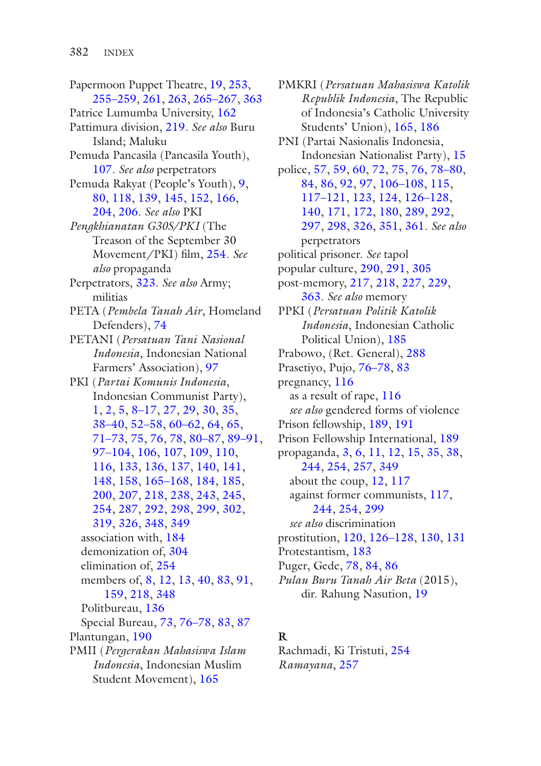Papermoon Puppet Theatre, [19, 253](#page-0-0), 255–259, [261](#page-0-0), [263](#page-0-0), 265–267, [363](#page-0-0) Patrice Lumumba University, [162](#page-0-0) Pattimura division, [219.](#page-0-0) *See also* Buru Island; Maluku Pemuda Pancasila (Pancasila Youth), [107.](#page-0-0) *See also* perpetrators Pemuda Rakyat (People's Youth), [9](#page-0-0), [80,](#page-0-0) [118](#page-0-0), [139](#page-0-0), [145](#page-0-0), [152,](#page-0-0) [166,](#page-0-0) [204, 206](#page-0-0). *See also* PKI *Pengkhianatan G30S/PKI* (The Treason of the September 30 Movement/PKI) flm, [254.](#page-0-0) *See also* propaganda Perpetrators, [323.](#page-0-0) *See also* Army; militias PETA (*Pembela Tanah Air*, Homeland Defenders), [74](#page-0-0) PETANI (*Persatuan Tani Nasional Indonesia*, Indonesian National Farmers' Association), [97](#page-0-0) PKI (*Partai Komunis Indonesia*, Indonesian Communist Party), [1,](#page-0-0) [2, 5](#page-0-0), 8–17, [27,](#page-0-0) [29,](#page-0-0) [30](#page-0-0), [35](#page-0-0), 38–40, 52–58, 60–62, [64](#page-0-0), [65](#page-0-0), 71–73, [75,](#page-0-0) [76,](#page-0-0) [78,](#page-0-0) 80–87, 89–91, 97–104, [106,](#page-0-0) [107,](#page-0-0) [109](#page-0-0), [110](#page-0-0), [116, 133](#page-0-0), [136](#page-0-0), [137](#page-0-0), [140,](#page-0-0) [141,](#page-0-0) [148, 158](#page-0-0), 165–168, [184](#page-0-0), [185](#page-0-0), [200, 207](#page-0-0), [218](#page-0-0), [238](#page-0-0), [243,](#page-0-0) [245,](#page-0-0) [254, 287](#page-0-0), [292](#page-0-0), [298](#page-0-0), [299,](#page-0-0) [302,](#page-0-0) [319, 326](#page-0-0), [348](#page-0-0), [349](#page-0-0) association with, [184](#page-0-0) demonization of, [304](#page-0-0) elimination of, [254](#page-0-0) members of, [8](#page-0-0), [12](#page-0-0), [13](#page-0-0), [40](#page-0-0), [83,](#page-0-0) [91,](#page-0-0) [159, 218](#page-0-0), [348](#page-0-0) Politbureau, [136](#page-0-0) Special Bureau, [73](#page-0-0), 76–78, [83](#page-0-0), [87](#page-0-0) Plantungan, [190](#page-0-0) PMII (*Pergerakan Mahasiswa Islam Indonesia*, Indonesian Muslim Student Movement), [165](#page-0-0)

PMKRI (*Persatuan Mahasiswa Katolik Republik Indonesia*, The Republic of Indonesia's Catholic University Students' Union), [165,](#page-0-0) [186](#page-0-0) PNI (Partai Nasionalis Indonesia, Indonesian Nationalist Party), [15](#page-0-0) police, [57,](#page-0-0) [59,](#page-0-0) [60,](#page-0-0) [72,](#page-0-0) [75](#page-0-0), [76](#page-0-0), 78–80, [84,](#page-0-0) [86,](#page-0-0) [92](#page-0-0), [97](#page-0-0), 106–108, [115](#page-0-0), 117–121, [123,](#page-0-0) [124,](#page-0-0) 126–128, [140,](#page-0-0) [171](#page-0-0), [172](#page-0-0), [180](#page-0-0), [289,](#page-0-0) [292,](#page-0-0) [297,](#page-0-0) [298](#page-0-0), [326](#page-0-0), [351](#page-0-0), [361.](#page-0-0) *See also* perpetrators political prisoner. *See* tapol popular culture, [290,](#page-0-0) [291,](#page-0-0) [305](#page-0-0) post-memory, [217,](#page-0-0) [218,](#page-0-0) [227](#page-0-0), [229](#page-0-0), [363.](#page-0-0) *See also* memory PPKI (*Persatuan Politik Katolik Indonesia*, Indonesian Catholic Political Union), [185](#page-0-0) Prabowo, (Ret. General), [288](#page-0-0) Prasetiyo, Pujo, 76–78, [83](#page-0-0) pregnancy, [116](#page-0-0) as a result of rape, [116](#page-0-0) *see also* gendered forms of violence Prison fellowship, [189](#page-0-0), [191](#page-0-0) Prison Fellowship International, [189](#page-0-0) propaganda, [3,](#page-0-0) [6,](#page-0-0) [11,](#page-0-0) [12](#page-0-0), [15](#page-0-0), [35](#page-0-0), [38](#page-0-0), [244,](#page-0-0) [254](#page-0-0), [257](#page-0-0), [349](#page-0-0) about the coup, [12](#page-0-0), [117](#page-0-0) against former communists, [117,](#page-0-0) [244,](#page-0-0) [254](#page-0-0), [299](#page-0-0) *see also* discrimination prostitution, [120](#page-0-0), 126–128, [130](#page-0-0), [131](#page-0-0) Protestantism, [183](#page-0-0) Puger, Gede, [78,](#page-0-0) [84,](#page-0-0) [86](#page-0-0) *Pulau Buru Tanah Air Beta* (2015), dir. Rahung Nasution, [19](#page-0-0)

#### **R**

Rachmadi, Ki Tristuti, [254](#page-0-0) *Ramayana*, [257](#page-0-0)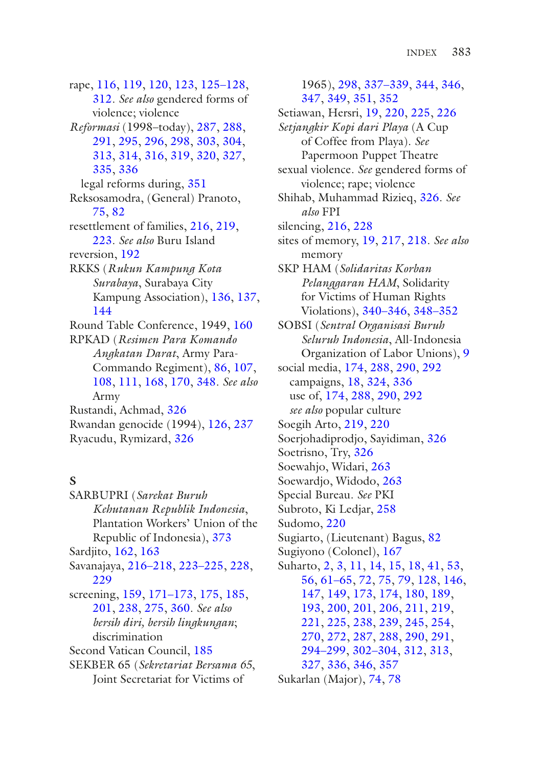rape, [116](#page-0-0), [119](#page-0-0), [120,](#page-0-0) [123,](#page-0-0) 125–128, [312.](#page-0-0) *See also* gendered forms of violence; violence *Reformasi* (1998–today), [287,](#page-0-0) [288](#page-0-0), [291, 295](#page-0-0), [296](#page-0-0), [298](#page-0-0), [303,](#page-0-0) [304,](#page-0-0) [313, 314](#page-0-0), [316](#page-0-0), [319](#page-0-0), [320,](#page-0-0) [327,](#page-0-0) [335, 336](#page-0-0) legal reforms during, [351](#page-0-0) Reksosamodra, (General) Pranoto, [75,](#page-0-0) [82](#page-0-0) resettlement of families, [216,](#page-0-0) [219,](#page-0-0) [223.](#page-0-0) *See also* Buru Island reversion, [192](#page-0-0) RKKS (*Rukun Kampung Kota Surabaya*, Surabaya City Kampung Association), [136,](#page-0-0) [137](#page-0-0), [144](#page-0-0) Round Table Conference, 1949, [160](#page-0-0) RPKAD (*Resimen Para Komando Angkatan Darat*, Army Para-Commando Regiment), [86](#page-0-0), [107](#page-0-0), [108, 111](#page-0-0), [168](#page-0-0), [170](#page-0-0), [348.](#page-0-0) *See also* Army Rustandi, Achmad, [326](#page-0-0) Rwandan genocide (1994), [126](#page-0-0), [237](#page-0-0) Ryacudu, Rymizard, [326](#page-0-0)

## **S**

SARBUPRI (*Sarekat Buruh Kehutanan Republik Indonesia*, Plantation Workers' Union of the Republic of Indonesia), [373](#page-0-0) Sardjito, [162,](#page-0-0) [163](#page-0-0) Savanajaya, 216–218, 223–225, [228,](#page-0-0) [229](#page-0-0) screening, [159](#page-0-0), 171–173, [175](#page-0-0), [185](#page-0-0), [201, 238](#page-0-0), [275](#page-0-0), [360](#page-0-0). *See also bersih diri, bersih lingkungan*; discrimination Second Vatican Council, [185](#page-0-0) SEKBER 65 (*Sekretariat Bersama 65*, Joint Secretariat for Victims of

1965), [298,](#page-0-0) 337–339, [344](#page-0-0), [346,](#page-0-0) [347,](#page-0-0) [349](#page-0-0), [351](#page-0-0), [352](#page-0-0) Setiawan, Hersri, [19,](#page-0-0) [220,](#page-0-0) [225](#page-0-0), [226](#page-0-0) *Setjangkir Kopi dari Playa* (A Cup of Coffee from Playa). *See* Papermoon Puppet Theatre sexual violence. *See* gendered forms of violence; rape; violence Shihab, Muhammad Rizieq, [326.](#page-0-0) *See also* FPI silencing, [216](#page-0-0), [228](#page-0-0) sites of memory, [19](#page-0-0), [217](#page-0-0), [218](#page-0-0). *See also* memory SKP HAM (*Solidaritas Korban Pelanggaran HAM*, Solidarity for Victims of Human Rights Violations), 340–346, 348–352 SOBSI (*Sentral Organisasi Buruh Seluruh Indonesia*, All-Indonesia Organization of Labor Unions), [9](#page-0-0) social media, [174](#page-0-0), [288,](#page-0-0) [290,](#page-0-0) [292](#page-0-0) campaigns, [18,](#page-0-0) [324,](#page-0-0) [336](#page-0-0) use of, [174,](#page-0-0) [288,](#page-0-0) [290,](#page-0-0) [292](#page-0-0) *see also* popular culture Soegih Arto, [219](#page-0-0), [220](#page-0-0) Soerjohadiprodjo, Sayidiman, [326](#page-0-0) Soetrisno, Try, [326](#page-0-0) Soewahjo, Widari, [263](#page-0-0) Soewardjo, Widodo, [263](#page-0-0) Special Bureau. *See* PKI Subroto, Ki Ledjar, [258](#page-0-0) Sudomo, [220](#page-0-0) Sugiarto, (Lieutenant) Bagus, [82](#page-0-0) Sugiyono (Colonel), [167](#page-0-0) Suharto, [2](#page-0-0), [3](#page-0-0), [11](#page-0-0), [14,](#page-0-0) [15,](#page-0-0) [18,](#page-0-0) [41,](#page-0-0) [53,](#page-0-0) [56,](#page-0-0) 61–65, [72,](#page-0-0) [75,](#page-0-0) [79,](#page-0-0) [128](#page-0-0), [146](#page-0-0), [147,](#page-0-0) [149](#page-0-0), [173](#page-0-0), [174](#page-0-0), [180,](#page-0-0) [189,](#page-0-0) [193,](#page-0-0) [200](#page-0-0), [201](#page-0-0), [206](#page-0-0), [211,](#page-0-0) [219,](#page-0-0) [221,](#page-0-0) [225](#page-0-0), [238](#page-0-0), [239](#page-0-0), [245,](#page-0-0) [254,](#page-0-0) [270,](#page-0-0) [272](#page-0-0), [287](#page-0-0), [288](#page-0-0), [290,](#page-0-0) [291,](#page-0-0) 294–299, 302–304, [312](#page-0-0), [313,](#page-0-0) [327,](#page-0-0) [336](#page-0-0), [346](#page-0-0), [357](#page-0-0) Sukarlan (Major), [74](#page-0-0), [78](#page-0-0)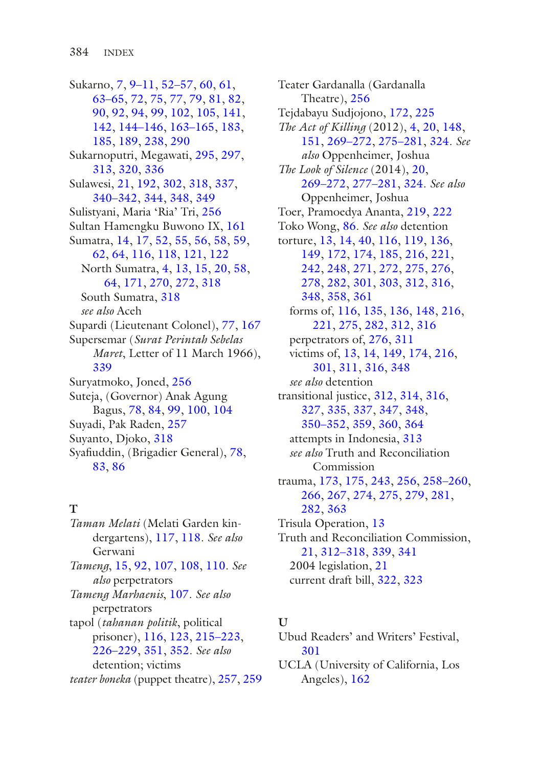Sukarno, [7,](#page-0-0) 9–11, 52–57, [60](#page-0-0), [61](#page-0-0), 63–65, [72,](#page-0-0) [75,](#page-0-0) [77,](#page-0-0) [79, 81](#page-0-0), [82](#page-0-0), [90,](#page-0-0) [92](#page-0-0), [94](#page-0-0), [99](#page-0-0), [102](#page-0-0), [105,](#page-0-0) [141,](#page-0-0) [142,](#page-0-0) 144–146, 163–165, [183,](#page-0-0) [185, 189](#page-0-0), [238](#page-0-0), [290](#page-0-0) Sukarnoputri, Megawati, [295,](#page-0-0) [297,](#page-0-0) [313, 320](#page-0-0), [336](#page-0-0) Sulawesi, [21](#page-0-0), [192](#page-0-0), [302,](#page-0-0) [318,](#page-0-0) [337,](#page-0-0) 340–342, [344,](#page-0-0) [348,](#page-0-0) [349](#page-0-0) Sulistyani, Maria 'Ria' Tri, [256](#page-0-0) Sultan Hamengku Buwono IX, [161](#page-0-0) Sumatra, [14](#page-0-0), [17,](#page-0-0) [52,](#page-0-0) [55,](#page-0-0) [56,](#page-0-0) [58](#page-0-0), [59](#page-0-0), [62,](#page-0-0) [64](#page-0-0), [116](#page-0-0), [118](#page-0-0), [121,](#page-0-0) [122](#page-0-0) North Sumatra, [4](#page-0-0), [13](#page-0-0), [15](#page-0-0), [20](#page-0-0), [58](#page-0-0), [64,](#page-0-0) [171](#page-0-0), [270](#page-0-0), [272](#page-0-0), [318](#page-0-0) South Sumatra, [318](#page-0-0) *see also* Aceh Supardi (Lieutenant Colonel), [77](#page-0-0), [167](#page-0-0) Supersemar (*Surat Perintah Sebelas Maret*, Letter of 11 March 1966), [339](#page-0-0) Suryatmoko, Joned, [256](#page-0-0) Suteja, (Governor) Anak Agung Bagus, [78](#page-0-0), [84](#page-0-0), [99](#page-0-0), [100](#page-0-0), [104](#page-0-0) Suyadi, Pak Raden, [257](#page-0-0) Suyanto, Djoko, [318](#page-0-0) Syafuddin, (Brigadier General), [78](#page-0-0), [83,](#page-0-0) [86](#page-0-0)

#### **T**

*Taman Melati* (Melati Garden kindergartens), [117,](#page-0-0) [118.](#page-0-0) *See also* Gerwani *Tameng*, [15](#page-0-0), [92](#page-0-0), [107,](#page-0-0) [108,](#page-0-0) [110.](#page-0-0) *See also* perpetrators *Tameng Marhaenis*, [107.](#page-0-0) *See also* perpetrators tapol (*tahanan politik*, political prisoner), [116,](#page-0-0) [123,](#page-0-0) 215–223, 226–229, [351,](#page-0-0) [352.](#page-0-0) *See also* detention; victims *teater boneka* (puppet theatre), [257,](#page-0-0) [259](#page-0-0) Teater Gardanalla (Gardanalla Theatre), [256](#page-0-0) Tejdabayu Sudjojono, [172](#page-0-0), [225](#page-0-0) *The Act of Killing* (2012), [4](#page-0-0), [20](#page-0-0), [148,](#page-0-0) [151,](#page-0-0) 269–272, 275–281, [324.](#page-0-0) *See also* Oppenheimer, Joshua *The Look of Silence* (2014), [20,](#page-0-0) 269–272, 277–281, [324](#page-0-0). *See also* Oppenheimer, Joshua Toer, Pramoedya Ananta, [219,](#page-0-0) [222](#page-0-0) Toko Wong, [86](#page-0-0). *See also* detention torture, [13](#page-0-0), [14](#page-0-0), [40](#page-0-0), [116](#page-0-0), [119,](#page-0-0) [136,](#page-0-0) [149,](#page-0-0) [172](#page-0-0), [174](#page-0-0), [185](#page-0-0), [216,](#page-0-0) [221,](#page-0-0) [242,](#page-0-0) [248](#page-0-0), [271](#page-0-0), [272](#page-0-0), [275,](#page-0-0) [276,](#page-0-0) [278,](#page-0-0) [282](#page-0-0), [301](#page-0-0), [303](#page-0-0), [312,](#page-0-0) [316,](#page-0-0) [348,](#page-0-0) [358](#page-0-0), [361](#page-0-0) forms of, [116](#page-0-0), [135](#page-0-0), [136](#page-0-0), [148,](#page-0-0) [216,](#page-0-0) [221,](#page-0-0) [275](#page-0-0), [282](#page-0-0), [312](#page-0-0), [316](#page-0-0) perpetrators of, [276](#page-0-0), [311](#page-0-0) victims of, [13,](#page-0-0) [14,](#page-0-0) [149](#page-0-0), [174](#page-0-0), [216](#page-0-0), [301,](#page-0-0) [311](#page-0-0), [316](#page-0-0), [348](#page-0-0) *see also* detention transitional justice, [312](#page-0-0), [314](#page-0-0), [316,](#page-0-0) [327,](#page-0-0) [335](#page-0-0), [337](#page-0-0), [347](#page-0-0), [348,](#page-0-0) 350–352, [359,](#page-0-0) [360,](#page-0-0) [364](#page-0-0) attempts in Indonesia, [313](#page-0-0) *see also* Truth and Reconciliation Commission trauma, [173,](#page-0-0) [175,](#page-0-0) [243](#page-0-0), [256](#page-0-0), 258–260, [266,](#page-0-0) [267](#page-0-0), [274](#page-0-0), [275](#page-0-0), [279,](#page-0-0) [281,](#page-0-0) [282,](#page-0-0) [363](#page-0-0) Trisula Operation, [13](#page-0-0) Truth and Reconciliation Commission, [21,](#page-0-0) 312–318, [339,](#page-0-0) [341](#page-0-0) 2004 legislation, [21](#page-0-0) current draft bill, [322, 323](#page-0-0)

#### **U**

Ubud Readers' and Writers' Festival, [301](#page-0-0) UCLA (University of California, Los Angeles), [162](#page-0-0)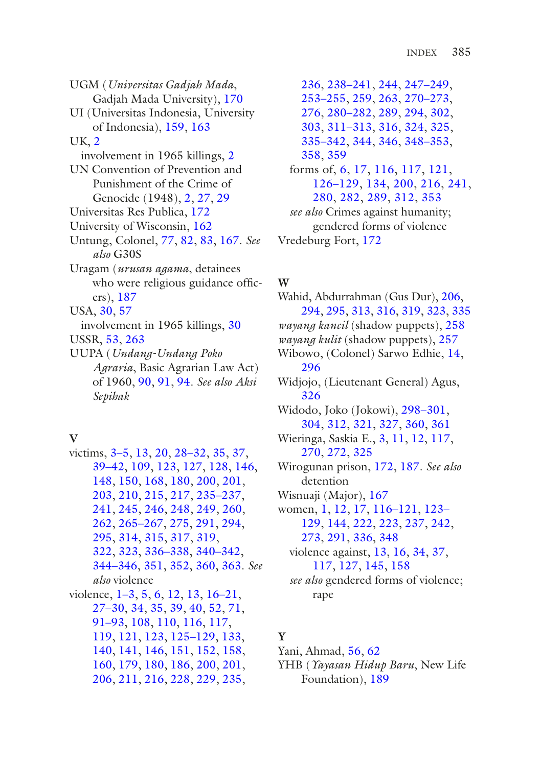UGM (*Universitas Gadjah Mada*, Gadjah Mada University), [170](#page-0-0) UI (Universitas Indonesia, University of Indonesia), [159](#page-0-0), [163](#page-0-0) UK, [2](#page-0-0) involvement in 1965 killings, [2](#page-0-0) UN Convention of Prevention and Punishment of the Crime of Genocide (1948), [2](#page-0-0), [27](#page-0-0), [29](#page-0-0) Universitas Res Publica, [172](#page-0-0) University of Wisconsin, [162](#page-0-0) Untung, Colonel, [77](#page-0-0), [82](#page-0-0), [83](#page-0-0), [167.](#page-0-0) *See also* G30S Uragam (*urusan agama*, detainees who were religious guidance offcers), [187](#page-0-0) USA, [30](#page-0-0), [57](#page-0-0) involvement in 1965 killings, [30](#page-0-0) USSR, [53](#page-0-0), [263](#page-0-0) UUPA (*Undang-Undang Poko Agraria*, Basic Agrarian Law Act) of 1960, [90](#page-0-0), [91,](#page-0-0) [94.](#page-0-0) *See also Aksi Sepihak*

#### **V**

victims, 3–5, [13](#page-0-0), [20](#page-0-0), 28–32, [35](#page-0-0), [37](#page-0-0), 39–42, [109,](#page-0-0) [123,](#page-0-0) [127, 128](#page-0-0), [146](#page-0-0), [148, 150](#page-0-0), [168](#page-0-0), [180](#page-0-0), [200,](#page-0-0) [201,](#page-0-0) [203, 210](#page-0-0), [215](#page-0-0), [217](#page-0-0), 235–237, [241, 245](#page-0-0), [246](#page-0-0), [248](#page-0-0), [249,](#page-0-0) [260,](#page-0-0) [262,](#page-0-0) 265–267, [275,](#page-0-0) [291](#page-0-0), [294](#page-0-0), [295, 314](#page-0-0), [315](#page-0-0), [317](#page-0-0), [319,](#page-0-0) [322, 323](#page-0-0), 336–338, 340–342, 344–346, [351,](#page-0-0) [352,](#page-0-0) [360](#page-0-0), [363](#page-0-0). *See also* violence violence, 1–3, [5,](#page-0-0) [6,](#page-0-0) [12,](#page-0-0) [13](#page-0-0), 16–21, 27–30, [34,](#page-0-0) [35,](#page-0-0) [39,](#page-0-0) [40, 52](#page-0-0), [71](#page-0-0), 91–93, [108,](#page-0-0) [110,](#page-0-0) [116, 117](#page-0-0), [119, 121](#page-0-0), [123](#page-0-0), 125–129, [133](#page-0-0), [140, 141](#page-0-0), [146](#page-0-0), [151](#page-0-0), [152,](#page-0-0) [158,](#page-0-0) [160, 179](#page-0-0), [180](#page-0-0), [186](#page-0-0), [200,](#page-0-0) [201,](#page-0-0) [206, 211](#page-0-0), [216](#page-0-0), [228](#page-0-0), [229,](#page-0-0) [235,](#page-0-0)

[236,](#page-0-0) 238–241, [244,](#page-0-0) 247–249, 253–255, [259,](#page-0-0) [263,](#page-0-0) 270–273, [276,](#page-0-0) 280–282, [289,](#page-0-0) [294, 302](#page-0-0), [303,](#page-0-0) 311–313, [316,](#page-0-0) [324, 325](#page-0-0), 335–342, [344,](#page-0-0) [346,](#page-0-0) 348–353, [358,](#page-0-0) [359](#page-0-0) forms of, [6](#page-0-0), [17, 116](#page-0-0), [117](#page-0-0), [121](#page-0-0), 126–129, [134, 200, 216](#page-0-0), [241](#page-0-0), [280](#page-0-0), [282,](#page-0-0) [289,](#page-0-0) [312,](#page-0-0) [353](#page-0-0) *see also* Crimes against humanity; gendered forms of violence Vredeburg Fort, [172](#page-0-0)

## **W**

Wahid, Abdurrahman (Gus Dur), [206](#page-0-0), [294](#page-0-0), [295,](#page-0-0) [313](#page-0-0), [316,](#page-0-0) [319](#page-0-0), [323,](#page-0-0) [335](#page-0-0) *wayang kancil* (shadow puppets), [258](#page-0-0) *wayang kulit* (shadow puppets), [257](#page-0-0) Wibowo, (Colonel) Sarwo Edhie, [14](#page-0-0), [296](#page-0-0) Widjojo, (Lieutenant General) Agus, [326](#page-0-0) Widodo, Joko (Jokowi), 298–301, [304,](#page-0-0) [312](#page-0-0), [321](#page-0-0), [327](#page-0-0), [360,](#page-0-0) [361](#page-0-0) Wieringa, Saskia E., [3](#page-0-0), [11](#page-0-0), [12](#page-0-0), [117](#page-0-0), [270,](#page-0-0) [272](#page-0-0), [325](#page-0-0) Wirogunan prison, [172](#page-0-0), [187.](#page-0-0) *See also* detention Wisnuaji (Major), [167](#page-0-0) women, [1](#page-0-0), [12](#page-0-0), [17](#page-0-0), 116–121, 123– 129, [144](#page-0-0), [222](#page-0-0), [223](#page-0-0), [237,](#page-0-0) [242,](#page-0-0) [273,](#page-0-0) [291](#page-0-0), [336](#page-0-0), [348](#page-0-0) violence against, [13](#page-0-0), [16](#page-0-0), [34](#page-0-0), [37](#page-0-0), [117,](#page-0-0) [127](#page-0-0), [145](#page-0-0), [158](#page-0-0) *see also* gendered forms of violence; rape

# **Y**

Yani, Ahmad, [56](#page-0-0), [62](#page-0-0)

YHB (*Yayasan Hidup Baru*, New Life Foundation), [189](#page-0-0)